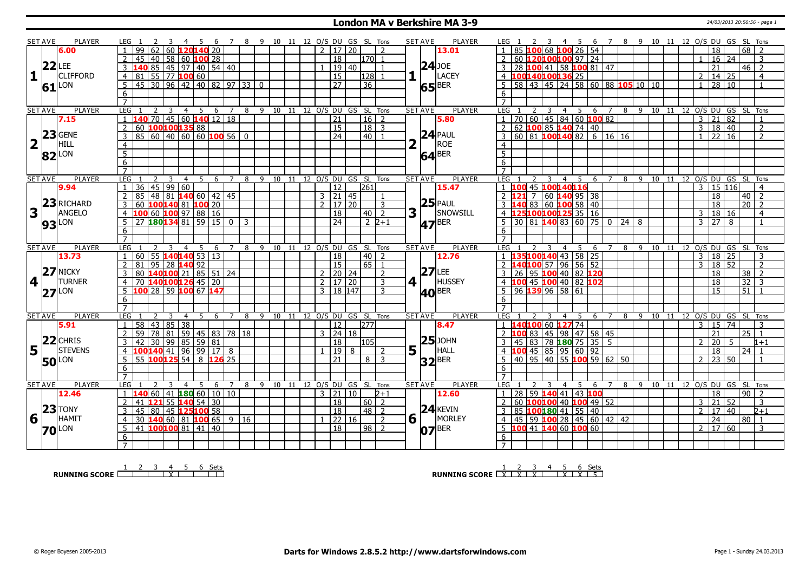#### **London MA v Berkshire MA 3-9** 24/03/2013 20:56:56 - page 1

|                         | <b>SET AVE</b> | PLAYER              |                |                                                                             |                      | 45             |    |    |                |   |    |       |    |                |                 |                                                     |                       |                |                | <b>SET AVE</b> | <b>PLAYER</b>       |                |                                               |   |                |                |                     |                     |                   |                                        |    |                |                            |                 |                 |                |
|-------------------------|----------------|---------------------|----------------|-----------------------------------------------------------------------------|----------------------|----------------|----|----|----------------|---|----|-------|----|----------------|-----------------|-----------------------------------------------------|-----------------------|----------------|----------------|----------------|---------------------|----------------|-----------------------------------------------|---|----------------|----------------|---------------------|---------------------|-------------------|----------------------------------------|----|----------------|----------------------------|-----------------|-----------------|----------------|
|                         |                | 6.00                | LEG 1          | 62 60 120 140 20<br>99                                                      |                      |                |    |    |                |   |    |       |    |                |                 | 6 7 8 9 10 11 12 O/S DU GS SL Tons<br>2 1 1 7 1 2 0 |                       | $\overline{2}$ |                |                | 13.01               |                | 85 100 68 100 26 54                           |   |                |                |                     |                     |                   | 4 5 6 7 8 9 10 11 12 O/S DU GS SL Tons |    |                | 18                         |                 | 68              |                |
|                         |                |                     |                | $45$ $ 40 $ 58 60 100 28                                                    |                      |                |    |    |                |   |    |       |    |                | 18              |                                                     | 170                   |                |                |                |                     |                | 60 120100100 97 24                            |   |                |                |                     |                     |                   |                                        |    |                | $16 \mid 24$               |                 |                 | 3              |
|                         |                | $22$ LEE            |                | 40 85 45 97 40 54 40                                                        |                      |                |    |    |                |   |    |       |    |                |                 | 19 40                                               |                       |                |                | $24$ JOE       |                     |                | 28 100 41 58 100 81 47                        |   |                |                |                     |                     |                   |                                        |    |                | 21                         |                 | $46 \mid 2$     |                |
| 1                       |                | <b>CLIFFORD</b>     |                |                                                                             |                      |                |    |    |                |   |    |       |    |                |                 |                                                     |                       |                |                |                | LACEY               |                |                                               |   |                |                |                     |                     |                   |                                        |    |                |                            |                 |                 |                |
|                         |                |                     | $\overline{4}$ | 81 55 77 100 60                                                             |                      |                |    |    |                |   |    |       |    |                | 15              |                                                     | 1281                  |                |                |                |                     |                | 100140100136 25                               |   |                |                |                     |                     |                   |                                        |    | $\overline{2}$ | 14 25                      |                 |                 | $\overline{4}$ |
|                         | 61             | LON                 | -5             | 45 30 96 42 40 82 97 33 0                                                   |                      |                |    |    |                |   |    |       |    |                | $\overline{27}$ |                                                     | $\overline{36}$       |                |                |                | $65$ <sup>BER</sup> | 5              |                                               |   |                |                |                     |                     |                   | 58 43 45 24 58 60 88 105 10 10         |    | $\overline{1}$ | 28 10                      |                 |                 |                |
|                         |                |                     | 6              |                                                                             |                      |                |    |    |                |   |    |       |    |                |                 |                                                     |                       |                |                |                |                     | 6              |                                               |   |                |                |                     |                     |                   |                                        |    |                |                            |                 |                 |                |
|                         |                |                     | $\overline{7}$ |                                                                             |                      |                |    |    |                |   |    |       |    |                |                 |                                                     |                       |                |                |                |                     | $\overline{7}$ |                                               |   |                |                |                     |                     |                   |                                        |    |                |                            |                 |                 |                |
|                         | <b>SET AVE</b> | <b>PLAYER</b>       | LEG            |                                                                             | 3                    | $\overline{4}$ | 5  | 6  | $\overline{7}$ | 8 | 9  | 10    | 11 |                |                 | 12 O/S DU GS SL Tons                                |                       |                |                | <b>SET AVE</b> | <b>PLAYER</b>       | LEG            |                                               | 3 |                | 4 5            | 6 7                 |                     |                   | 8 9 10 11                              |    |                | 12 O/S DU GS SL Tons       |                 |                 |                |
|                         |                | 7.15                | $\mathbf{1}$   | 140 70 45 60 140 12 18                                                      |                      |                |    |    |                |   |    |       |    |                | $\overline{21}$ |                                                     | $16$   2              |                |                |                | 5.80                | $\overline{1}$ | 70 60 45 84 60 100 82                         |   |                |                |                     |                     |                   |                                        |    | 3              | $ 21\rangle$               | $\overline{82}$ |                 |                |
|                         |                |                     | 2              | 60 100100135 88                                                             |                      |                |    |    |                |   |    |       |    |                | $\overline{15}$ |                                                     | $18$ 3                |                |                |                |                     | 2              | 62 100 85 140 74 40                           |   |                |                |                     |                     |                   |                                        |    | $\overline{3}$ | 18 40                      |                 |                 | 2              |
|                         |                | $23$ GENE           | $\overline{3}$ | 85   60   40   60   60   <mark>100</mark> 56   0                            |                      |                |    |    |                |   |    |       |    |                | $\overline{24}$ |                                                     | $40$ $1$              |                |                |                | $24$ PAUL           | 3              | $\boxed{60}$ 81 <b>100140</b> 82 6 16 16      |   |                |                |                     |                     |                   |                                        |    |                | $1 \ 22 \ 16$              |                 |                 | $\mathcal{L}$  |
| $\overline{\mathbf{2}}$ |                | HILL                | $\overline{4}$ |                                                                             |                      |                |    |    |                |   |    |       |    |                |                 |                                                     |                       |                | 2              |                |                     | $\overline{4}$ |                                               |   |                |                |                     |                     |                   |                                        |    |                |                            |                 |                 |                |
|                         |                | $82$ <sup>LON</sup> | $\overline{5}$ |                                                                             |                      |                |    |    |                |   |    |       |    |                |                 |                                                     |                       |                |                |                | $64$ <sup>BER</sup> | $\overline{5}$ |                                               |   |                |                |                     |                     |                   |                                        |    |                |                            |                 |                 |                |
|                         |                |                     | $\overline{6}$ |                                                                             |                      |                |    |    |                |   |    |       |    |                |                 |                                                     |                       |                |                |                |                     | 6              |                                               |   |                |                |                     |                     |                   |                                        |    |                |                            |                 |                 |                |
|                         |                |                     | $\overline{7}$ |                                                                             |                      |                |    |    |                |   |    |       |    |                |                 |                                                     |                       |                |                |                |                     |                |                                               |   |                |                |                     |                     |                   |                                        |    |                |                            |                 |                 |                |
|                         | <b>SET AVE</b> | PLAYER              | LEG            |                                                                             | ्र                   | $\overline{4}$ | -5 | -6 |                | 8 | -9 | 10 11 |    |                |                 | 12 O/S DU GS SL Tons                                |                       |                |                | <b>SET AVE</b> | <b>PLAYER</b>       | LEG            |                                               |   | $\overline{4}$ | - 5            | -6                  | 8<br>$\overline{7}$ | - 9               | 10                                     | 11 |                | 12 O/S DU GS SL Tons       |                 |                 |                |
|                         |                | 9.94                |                | $36 \mid 45 \mid 99 \mid 60$                                                |                      |                |    |    |                |   |    |       |    |                | 12              |                                                     | 261                   |                |                |                | 15.47               |                | 00 45 100140116                               |   |                |                |                     |                     |                   |                                        |    | $\mathcal{E}$  | 15 116                     |                 |                 | $\overline{a}$ |
|                         |                |                     |                | 48   81   140   60   42   45<br>85                                          |                      |                |    |    |                |   |    |       |    |                |                 | $3$   21   45                                       |                       |                |                |                |                     |                |                                               |   |                | 7 60 140 95 38 |                     |                     |                   |                                        |    |                | 18                         |                 | $40 \mid 2$     |                |
|                         |                | $23$ RICHARD        | 3              | 60 100140 81 100 20                                                         |                      |                |    |    |                |   |    |       |    | $\overline{2}$ |                 | 17 20                                               |                       | 3              |                |                | $25$ PAUL           |                | 40 83 60 100 58 40                            |   |                |                |                     |                     |                   |                                        |    |                | 18                         |                 | $20$   2        |                |
| 3                       |                | <b>ANGELO</b>       | $\overline{4}$ | 100 60 100 97 88 16                                                         |                      |                |    |    |                |   |    |       |    |                | 18              |                                                     | 40                    | $\overline{2}$ | 3 <sup>1</sup> |                | SNOWSILL            |                | 4 125100100125 35 16                          |   |                |                |                     |                     |                   |                                        |    | $\overline{3}$ | 18 16                      |                 |                 | $\overline{4}$ |
|                         |                |                     | 5              | 27 180 134 81 59 15 0                                                       |                      |                |    |    |                | 3 |    |       |    |                | 24              |                                                     |                       | $2\;2+1$       |                |                |                     |                | $30\, \,81\, \,140\, \,83\, \,60\, \,75\, \,$ |   |                |                |                     | $\overline{0}$      | $\overline{24}$ 8 |                                        |    | $\mathbf{3}$   | 278                        |                 |                 |                |
|                         |                | <b>93</b> LON       | 6              |                                                                             |                      |                |    |    |                |   |    |       |    |                |                 |                                                     |                       |                |                |                | <b>47</b> BER       | 6              |                                               |   |                |                |                     |                     |                   |                                        |    |                |                            |                 |                 |                |
|                         |                |                     | $\overline{7}$ |                                                                             |                      |                |    |    |                |   |    |       |    |                |                 |                                                     |                       |                |                |                |                     | $\overline{z}$ |                                               |   |                |                |                     |                     |                   |                                        |    |                |                            |                 |                 |                |
|                         | <b>SET AVE</b> |                     |                |                                                                             |                      |                |    |    |                |   |    |       |    |                |                 |                                                     |                       |                |                | <b>SET AVE</b> | <b>PLAYER</b>       | <b>LEG</b>     |                                               |   | 4              | 5              |                     |                     |                   |                                        |    |                | 12 O/S DU GS SL Tons       |                 |                 |                |
|                         |                |                     |                |                                                                             |                      |                |    |    |                |   |    |       |    |                |                 |                                                     |                       |                |                |                |                     |                |                                               |   |                |                |                     |                     |                   |                                        |    |                |                            |                 |                 |                |
|                         |                | <b>PLAYER</b>       | LEG            |                                                                             | 3                    | $\overline{4}$ | -5 | 6  | $\overline{7}$ | 8 | -9 | 10    | 11 |                |                 |                                                     | 12 O/S DU GS SL Tons  |                |                |                |                     |                |                                               |   |                |                | 6                   | 8<br>7              | -9                | 10                                     | 11 |                |                            |                 |                 |                |
|                         |                | 13.73               | $\overline{1}$ | 55 140140 53 13<br>60                                                       |                      |                |    |    |                |   |    |       |    |                | 18              |                                                     | 40                    | $\overline{2}$ |                |                | 12.76               |                | 35100140 43 58 25                             |   |                |                |                     |                     |                   |                                        |    | $\overline{3}$ | 18 25                      |                 |                 | 3              |
|                         |                |                     | 2              |                                                                             |                      |                |    |    |                |   |    |       |    |                | 15              |                                                     | $65$   1              |                |                |                |                     | $\overline{2}$ | $140100$ 57 96 56 52                          |   |                |                |                     |                     |                   |                                        |    | 3              | 18 52                      |                 |                 | $\overline{2}$ |
|                         |                | $27$ NICKY          | $\overline{3}$ | 81   95   28 <mark>140</mark> 92  <br>  80 <b>140 100</b> 21   85   51   24 |                      |                |    |    |                |   |    |       |    |                |                 | 2   20   24                                         |                       | $\overline{2}$ |                | $27$ LEE       |                     |                | 26 95 100 40 82 120                           |   |                |                |                     |                     |                   |                                        |    |                | 18                         |                 | $\overline{38}$ | $\overline{2}$ |
| 4                       |                | <b>TURNER</b>       | $\overline{4}$ | 70 140100126 45 20                                                          |                      |                |    |    |                |   |    |       |    |                |                 | $2 \mid 17 \mid 20$                                 |                       | 3              | 4 1            |                | HUSSEY              | $\overline{4}$ | 100 45 100 40 82 102                          |   |                |                |                     |                     |                   |                                        |    |                | 18                         |                 | $\overline{32}$ | $\mathbf{3}$   |
|                         |                | $27$ <sup>LON</sup> | -5             | 100 28 59 100 67 147                                                        |                      |                |    |    |                |   |    |       |    |                |                 | $3 \mid 18 \mid 147$                                |                       | 3              |                |                | $40^{BER}$          |                | 96 139 96 58 61                               |   |                |                |                     |                     |                   |                                        |    |                | 15                         |                 | 51              |                |
|                         |                |                     | 6              |                                                                             |                      |                |    |    |                |   |    |       |    |                |                 |                                                     |                       |                |                |                |                     | 6              |                                               |   |                |                |                     |                     |                   |                                        |    |                |                            |                 |                 |                |
|                         |                |                     |                |                                                                             |                      |                |    |    |                |   |    |       |    |                |                 |                                                     |                       |                |                |                |                     |                |                                               |   |                |                |                     |                     |                   |                                        |    |                |                            |                 |                 |                |
|                         | <b>SET AVE</b> | <b>PLAYER</b>       | LEG            |                                                                             | 3                    | $\overline{4}$ | 5  | 6  | $\overline{7}$ | 8 | 9  |       |    |                |                 | 10 11 12 0/S DU GS SL Tons                          |                       |                |                | <b>SET AVE</b> | <b>PLAYER</b>       | LEG            |                                               |   | 4 5            |                | 6<br>$\overline{7}$ | 8                   | - 9               | 10 11 12 0/S DU GS SL Tons             |    |                |                            |                 |                 |                |
|                         |                | 5.91                |                | 58                                                                          | 43 85 38             |                |    |    |                |   |    |       |    |                | 12              |                                                     | 277                   |                |                |                | 8.47                |                | 40100 60 127 74                               |   |                |                |                     |                     |                   |                                        |    | 3              | 15 74                      |                 |                 |                |
|                         |                |                     |                | $\overline{59}$                                                             | 78 81 59 45 83 78 18 |                |    |    |                |   |    |       |    |                |                 | 3   24   18                                         |                       |                |                |                |                     |                | 00 83 45 98 47 58 45                          |   |                |                |                     |                     |                   |                                        |    |                | 21                         |                 | $\overline{25}$ | $\overline{1}$ |
|                         |                | $22$ CHRIS          | 3              | 30 99 85 59 81<br>42                                                        |                      |                |    |    |                |   |    |       |    |                | $\overline{18}$ |                                                     | 105                   |                |                |                | $ 25 $ JOHN         | 3              | 45 83 78 180 75 35 5                          |   |                |                |                     |                     |                   |                                        |    | $\overline{2}$ | $20 \mid 5$                |                 |                 | $1+1$          |
|                         | $5^{\circ}$    | <b>STEVENS</b>      | $\overline{4}$ |                                                                             |                      |                |    |    |                |   |    |       |    |                | 19              | 8                                                   |                       | $\overline{2}$ | 5              |                | HALL                |                | $100$ 45 85 95 60 92                          |   |                |                |                     |                     |                   |                                        |    |                | 18                         |                 | $\overline{24}$ | $\overline{1}$ |
|                         |                | <b>50</b> LON       | 5              |                                                                             |                      |                |    |    |                |   |    |       |    |                | 21              |                                                     | $8\sqrt{3}$           |                |                |                |                     | 5              | 40   95   40   55 100 59   62   50            |   |                |                |                     |                     |                   |                                        |    | $\overline{2}$ | 23 50                      |                 |                 |                |
|                         |                |                     | 6              |                                                                             |                      |                |    |    |                |   |    |       |    |                |                 |                                                     |                       |                |                |                | $32$ <sup>BER</sup> | 6              |                                               |   |                |                |                     |                     |                   |                                        |    |                |                            |                 |                 |                |
|                         |                |                     | $\overline{7}$ |                                                                             |                      |                |    |    |                |   |    |       |    |                |                 |                                                     |                       |                |                |                |                     | $\overline{7}$ |                                               |   |                |                |                     |                     |                   |                                        |    |                |                            |                 |                 |                |
|                         | <b>SET AVE</b> | PLAYER              | LEG 1          |                                                                             | $\overline{3}$       | $\overline{4}$ | -5 | 6  | $7^{\circ}$    |   |    |       |    |                |                 | 8 9 10 11 12 O/S DU GS SL Tons                      |                       |                |                | <b>SETAVE</b>  | <b>PLAYER</b>       | LEG            |                                               | 3 | $\overline{4}$ |                | 5 6 7               | 8                   | -9                |                                        |    |                | 10 11 12 0/S DU GS SL Tons |                 |                 |                |
|                         |                | 12.46               |                | $1 \vert 140 \vert 60 \vert 41 \vert 180 \vert 60 \vert 10 \vert 10$        |                      |                |    |    |                |   |    |       |    |                |                 | $3 \mid 21 \mid 10$                                 |                       | $2 + 1$        |                |                | 12.60               |                | 28 59 140 41 43 100                           |   |                |                |                     |                     |                   |                                        |    |                | 18                         |                 | $90$   2        |                |
|                         |                |                     | $\overline{2}$ | 41   <b>121</b>   55   140   54   30                                        |                      |                |    |    |                |   |    |       |    |                | $\overline{18}$ |                                                     | $60\vert\overline{2}$ |                |                |                |                     |                | 60 100100 40 100 49 52                        |   |                |                |                     |                     |                   |                                        |    | $\overline{3}$ | $\overline{21}$            | 52              |                 | 3              |
|                         |                | $23$ TONY           | $\overline{3}$ | 80   45   125 100 58<br>45                                                  |                      |                |    |    |                |   |    |       |    |                | $\overline{18}$ |                                                     | $48$   2              |                |                |                | $24$ <b>KEVIN</b>   |                | 85 100 180 41 55 40                           |   |                |                |                     |                     |                   |                                        |    | $\overline{2}$ | $\sqrt{17/40}$             |                 |                 | $2 + 1$        |
| 6                       |                | HAMIT               | $\overline{4}$ | 30 <b>140</b> 60 81 <b>100</b> 65 9 16                                      |                      |                |    |    |                |   |    |       |    | $\blacksquare$ |                 | 22 16                                               |                       | 2              | $6\sqrt{ }$    |                | MORLEY              | $\overline{4}$ | 45 59 100 28 45 60 42 42                      |   |                |                |                     |                     |                   |                                        |    |                | 24                         |                 | 80              | $\overline{1}$ |
|                         |                |                     | 5              | 41   100 100 81   41   40                                                   |                      |                |    |    |                |   |    |       |    |                | $\overline{18}$ |                                                     | $98$   2              |                |                |                |                     | 5              | LOO 41 240 60 200 60                          |   |                |                |                     |                     |                   |                                        |    |                | 2   17   60                |                 |                 | 3              |
|                         |                | <b>70</b> LON       | 6              |                                                                             |                      |                |    |    |                |   |    |       |    |                |                 |                                                     |                       |                |                |                | $ 07 $ BER          | 6              |                                               |   |                |                |                     |                     |                   |                                        |    |                |                            |                 |                 |                |

**RUNNING SCORE** <u>1 2 3 4 5 6 Sets</u><br>
2 3 4 5 6 Sets

**RUNNING SCORE**<u>
LX | X | X | X | X | X | 5</u>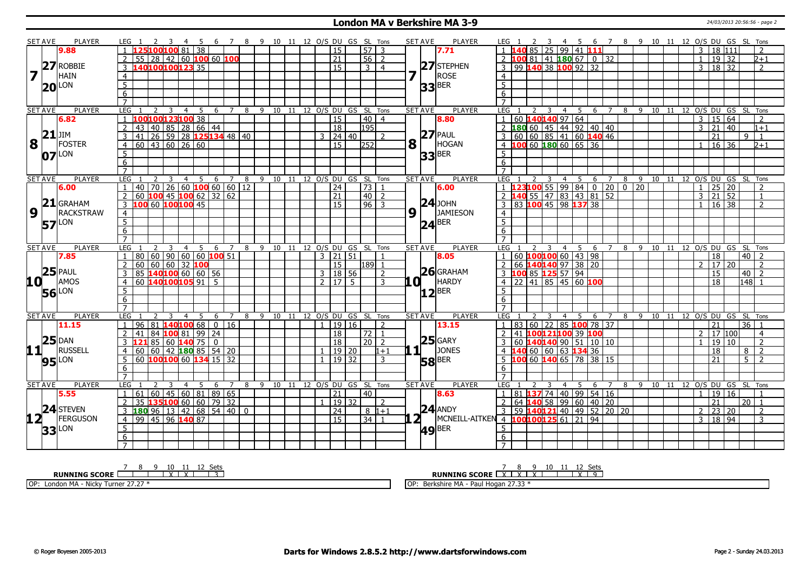#### **London MA v Berkshire MA 3-9** 24/03/2013 20:56:56 - page 2

|                         | SET AVE | <b>PLAYER</b>       | LEG 1           |                                  | - 4                                | - 5 | - 6 | $\overline{7}$ | - 8          |         |  |              |                 | 9 10 11 12 O/S DU GS SL Tons       |                               |                 | <b>SET AVE</b>      | <b>PLAYER</b>                       | LEG 1               |                                   |    |   |                 | - 5                  |                               | 6 7 8 9 10 11 12 O/S DU GS SL Tons |    |                 |         |    |                            |                |                 |             |                 |                          |
|-------------------------|---------|---------------------|-----------------|----------------------------------|------------------------------------|-----|-----|----------------|--------------|---------|--|--------------|-----------------|------------------------------------|-------------------------------|-----------------|---------------------|-------------------------------------|---------------------|-----------------------------------|----|---|-----------------|----------------------|-------------------------------|------------------------------------|----|-----------------|---------|----|----------------------------|----------------|-----------------|-------------|-----------------|--------------------------|
|                         |         | 9.88                |                 | 25 100 100 81 38                 |                                    |     |     |                |              |         |  |              | 15              |                                    | $57$ 3                        |                 | 7.71                |                                     |                     |                                   | 85 |   | $25 99 41$ 11   |                      |                               |                                    |    |                 |         |    |                            | $\overline{3}$ | 18 111          |             |                 | $\overline{\phantom{0}}$ |
|                         |         |                     |                 | 55 28 42 60 100 60 100           |                                    |     |     |                |              |         |  |              | $\overline{21}$ |                                    | $56$   2                      |                 |                     |                                     |                     |                                   |    |   |                 |                      | LOO 81   41   180 67   0   32 |                                    |    |                 |         |    |                            | $\mathbf{1}$   | 19 32           |             |                 | b+1                      |
|                         |         | 27 ROBBIE           |                 | 140100100123335                  |                                    |     |     |                |              |         |  |              | 15              |                                    | $\overline{3}$ $\overline{4}$ |                 | $27$ STEPHEN        |                                     | 3                   | 99 140 38 100 92 32               |    |   |                 |                      |                               |                                    |    |                 |         |    |                            | 3              | 18 32           |             |                 | $\overline{\phantom{a}}$ |
| $\overline{\mathbf{z}}$ |         | <b>HAIN</b>         | $\overline{4}$  |                                  |                                    |     |     |                |              |         |  |              |                 |                                    |                               | 7               | <b>ROSE</b>         |                                     | $\overline{4}$      |                                   |    |   |                 |                      |                               |                                    |    |                 |         |    |                            |                |                 |             |                 |                          |
|                         |         | <b>LON</b>          | $\overline{5}$  |                                  |                                    |     |     |                |              |         |  |              |                 |                                    |                               |                 |                     |                                     | $\overline{5}$      |                                   |    |   |                 |                      |                               |                                    |    |                 |         |    |                            |                |                 |             |                 |                          |
|                         | 20      |                     | 6               |                                  |                                    |     |     |                |              |         |  |              |                 |                                    |                               |                 | $33$ <sup>BER</sup> |                                     | 6                   |                                   |    |   |                 |                      |                               |                                    |    |                 |         |    |                            |                |                 |             |                 |                          |
|                         |         |                     | $\overline{7}$  |                                  |                                    |     |     |                |              |         |  |              |                 |                                    |                               |                 |                     |                                     | $\overline{7}$      |                                   |    |   |                 |                      |                               |                                    |    |                 |         |    |                            |                |                 |             |                 |                          |
| <b>SET AVE</b>          |         | <b>PLAYER</b>       | <b>LEG</b>      |                                  | 3<br>$\overline{4}$                | -5  |     |                |              |         |  |              |                 | 6 7 8 9 10 11 12 0/S DU GS SL Tons |                               |                 | <b>SET AVE</b>      | <b>PLAYER</b>                       | <b>LEG</b>          |                                   |    | 3 | 4               | 5                    |                               | 6 7 8 9 10 11 12 O/S DU GS SL Tons |    |                 |         |    |                            |                |                 |             |                 |                          |
|                         |         | 6.82                | -1              | 100100123100 38                  |                                    |     |     |                |              |         |  |              | $\overline{15}$ |                                    | $40 \mid 4$                   |                 | 8.80                |                                     | $\vert$ 1           | 60 140140 97 64                   |    |   |                 |                      |                               |                                    |    |                 |         |    |                            |                | 3   15   64     |             |                 | 2                        |
|                         |         |                     | $\overline{2}$  | 43                               | 40 85 28 66 44                     |     |     |                |              |         |  |              | $\sqrt{18}$     | $\overline{195}$                   |                               |                 |                     |                                     | $\sqrt{2}$          | 180 60 45 44 92 40 40             |    |   |                 |                      |                               |                                    |    |                 |         |    |                            | $\overline{3}$ | $\overline{21}$ | $\sqrt{40}$ |                 | $1 + 1$                  |
|                         | 21      | JIM                 | 3               | 41                               | 26 59 28 125 134 48 40             |     |     |                |              |         |  | 3            | 24 40           |                                    | $\overline{2}$                |                 | $27$ PAUL           |                                     |                     | 60   60   85   41   60   140   46 |    |   |                 |                      |                               |                                    |    |                 |         |    |                            |                | $\overline{21}$ |             | 9               | $\overline{1}$           |
| 8                       |         | FOSTER              | $\overline{4}$  | $60$ 43 60 26 60                 |                                    |     |     |                |              |         |  |              | $\overline{15}$ | 252                                |                               | 8               | HOGAN               |                                     |                     | 10060180606536                    |    |   |                 |                      |                               |                                    |    |                 |         |    |                            | $\mathbf{1}$   | 16 36           |             |                 | b+1                      |
|                         |         |                     |                 |                                  |                                    |     |     |                |              |         |  |              |                 |                                    |                               |                 |                     |                                     |                     |                                   |    |   |                 |                      |                               |                                    |    |                 |         |    |                            |                |                 |             |                 |                          |
|                         |         | $07$ <sup>LON</sup> | $\overline{5}$  |                                  |                                    |     |     |                |              |         |  |              |                 |                                    |                               |                 | $33$ <sup>BER</sup> |                                     | 5                   |                                   |    |   |                 |                      |                               |                                    |    |                 |         |    |                            |                |                 |             |                 |                          |
|                         |         |                     | $6\overline{6}$ |                                  |                                    |     |     |                |              |         |  |              |                 |                                    |                               |                 |                     |                                     | 6<br>$\overline{7}$ |                                   |    |   |                 |                      |                               |                                    |    |                 |         |    |                            |                |                 |             |                 |                          |
|                         |         |                     | $\overline{7}$  |                                  |                                    |     |     |                |              |         |  |              |                 |                                    |                               |                 |                     |                                     |                     |                                   |    |   |                 |                      |                               |                                    |    |                 |         |    |                            |                |                 |             |                 |                          |
| <b>SET AVE</b>          |         | <b>PLAYER</b>       | LEG             |                                  | 3<br>$\overline{4}$                | 5   | 6   | $\overline{7}$ | 8            |         |  |              |                 | 9 10 11 12 0/S DU GS SL Tons       |                               |                 | <b>SET AVE</b>      | <b>PLAYER</b>                       | LEG                 | 23100                             |    |   | $\overline{4}$  | 5                    | 6                             | $\overline{7}$                     | 8  | $-9$            | 10      | 11 | 12 O/S DU GS SL Tons       |                |                 |             |                 |                          |
|                         |         | 6.00                |                 | 40 <sup>1</sup>                  | $\overline{70}$ 26 60 100 60 60 12 |     |     |                |              |         |  |              | $\sqrt{24}$     | 73                                 | $\mathbf{1}$                  |                 | 6.00                |                                     | $\overline{1}$      |                                   |    |   |                 |                      |                               | 55   99   84   0   20   0          |    | $\overline{20}$ |         |    |                            | $\mathbf{1}$   | $25 \mid 20$    |             |                 | $\overline{\phantom{a}}$ |
|                         |         | $21$ GRAHAM         | <sup>2</sup>    | $-60$ 100 45 100 62 32 62        |                                    |     |     |                |              |         |  |              | 21              |                                    | 40   2                        |                 | $ 24 $ JOHN         |                                     | 2 <sub>1</sub>      | 40                                |    |   |                 |                      | 55   47   83   43   81   52   |                                    |    |                 |         |    |                            | 3              | $\overline{21}$ | 52          |                 | $\mathbf{1}$             |
|                         |         |                     | 3               | 100 60 100 100 45                |                                    |     |     |                |              |         |  |              | 15              |                                    | $96$ 3                        |                 |                     |                                     | $\overline{3}$      | $83$ 100 45 98 137 38             |    |   |                 |                      |                               |                                    |    |                 |         |    |                            | $\mathbf{1}$   | 16 38           |             |                 | $\mathcal{L}$            |
| 9                       |         | <b>RACKSTRAW</b>    | $\overline{4}$  |                                  |                                    |     |     |                |              |         |  |              |                 |                                    |                               | 9 1             |                     | <b>JAMIESON</b>                     | $\overline{4}$      |                                   |    |   |                 |                      |                               |                                    |    |                 |         |    |                            |                |                 |             |                 |                          |
|                         |         | <b>57</b> LON       | $\overline{5}$  |                                  |                                    |     |     |                |              |         |  |              |                 |                                    |                               |                 | $24$ <sup>BER</sup> |                                     | $\overline{5}$      |                                   |    |   |                 |                      |                               |                                    |    |                 |         |    |                            |                |                 |             |                 |                          |
|                         |         |                     | 6               |                                  |                                    |     |     |                |              |         |  |              |                 |                                    |                               |                 |                     |                                     | 6                   |                                   |    |   |                 |                      |                               |                                    |    |                 |         |    |                            |                |                 |             |                 |                          |
|                         |         |                     | $\overline{7}$  |                                  |                                    |     |     |                |              |         |  |              |                 |                                    |                               |                 |                     |                                     |                     |                                   |    |   |                 |                      |                               |                                    |    |                 |         |    |                            |                |                 |             |                 |                          |
| <b>SET AVE</b>          |         | <b>PLAYER</b>       | LEG             |                                  | 4                                  | - 5 | 6   | 7              |              |         |  |              |                 | 8 9 10 11 12 0/S DU GS SL Tons     |                               |                 | <b>SET AVE</b>      | <b>PLAYER</b>                       | LEG                 |                                   |    |   | 4               | - 5                  | 6                             | $\overline{7}$                     | 89 |                 |         |    | 10 11 12 O/S DU GS SL Tons |                |                 |             |                 |                          |
|                         |         |                     |                 |                                  |                                    |     |     |                |              |         |  |              |                 |                                    |                               |                 |                     |                                     |                     |                                   |    |   |                 |                      |                               |                                    |    |                 |         |    |                            |                |                 |             |                 |                          |
|                         |         | 7.85                |                 | 80 <sup>1</sup>                  | 60   90   60   60 <b> 100</b> 51   |     |     |                |              |         |  | 3            | 21 51           |                                    |                               |                 | 8.05                |                                     |                     |                                   |    |   |                 | 60 $100100$ 60 43 98 |                               |                                    |    |                 |         |    |                            |                | 18              |             | 40              | $\overline{z}$           |
|                         |         |                     | 2               | 60   60   60   32   100          |                                    |     |     |                |              |         |  |              | 15              |                                    | l189l 1                       |                 |                     |                                     | 2                   | 66 140 140 97 38 20               |    |   |                 |                      |                               |                                    |    |                 |         |    |                            | $\overline{2}$ | 17              | 20          |                 | $\overline{2}$           |
|                         |         | $25$ PAUL           | 3               | 85 140100 60 60 56               |                                    |     |     |                |              |         |  | 3   18   56  |                 |                                    | $\overline{2}$                |                 | $26$ GRAHAM         |                                     |                     | 3 100 85 125 57 94                |    |   |                 |                      |                               |                                    |    |                 |         |    |                            |                | 15              |             | $40$   2        |                          |
| 10 L                    |         | AMOS                | $\overline{4}$  | $60$ 140100105 91 5              |                                    |     |     |                |              |         |  | 2  17   5    |                 |                                    | $\mathcal{R}$                 | LO 1            | <b>HARDY</b>        |                                     |                     | 4 22 41 85 45 60 100              |    |   |                 |                      |                               |                                    |    |                 |         |    |                            |                | 18              |             | $148$ 1         |                          |
|                         |         |                     | 5               |                                  |                                    |     |     |                |              |         |  |              |                 |                                    |                               |                 |                     |                                     | 5 <sup>5</sup>      |                                   |    |   |                 |                      |                               |                                    |    |                 |         |    |                            |                |                 |             |                 |                          |
|                         |         | <b>56</b> LON       | $\overline{6}$  |                                  |                                    |     |     |                |              |         |  |              |                 |                                    |                               |                 | $12^{ BER }$        |                                     | 6                   |                                   |    |   |                 |                      |                               |                                    |    |                 |         |    |                            |                |                 |             |                 |                          |
|                         |         |                     | $\overline{7}$  |                                  |                                    |     |     |                |              |         |  |              |                 |                                    |                               |                 |                     |                                     | $\overline{7}$      |                                   |    |   |                 |                      |                               |                                    |    |                 |         |    |                            |                |                 |             |                 |                          |
| <b>SET AVE</b>          |         | <b>PLAYER</b>       | LEG             |                                  | $\overline{4}$                     | -5  | 6   | <sup>7</sup>   |              |         |  |              |                 | 8 9 10 11 12 O/S DU GS SL Tons     |                               |                 | <b>SET AVE</b>      | PLAYER                              | LEG                 |                                   |    |   | $\overline{4}$  | - 5                  | -6                            | 7                                  | 89 |                 |         |    | 10 11 12 O/S DU GS SL Tons |                |                 |             |                 |                          |
|                         |         | 11.15               | $\overline{1}$  | 96                               | $81 \, 140100 \, 68 \, 0 \, 16$    |     |     |                |              |         |  | $\mathbf{1}$ | 19 16           |                                    | $\mathcal{P}$                 |                 | 13.15               |                                     | $\vert$ 1           | 83 60 22 85 100 78 37             |    |   |                 |                      |                               |                                    |    |                 |         |    |                            |                | $\overline{21}$ |             | 36 1            |                          |
|                         |         |                     | $\overline{2}$  | 41                               | 84 100 81 99 24                    |     |     |                |              |         |  |              | 18              |                                    | 72   1                        |                 |                     |                                     | $\overline{z}$      | 41 100121100 39 100               |    |   |                 |                      |                               |                                    |    |                 |         |    |                            | $\overline{2}$ | 17 100          |             |                 | $\overline{4}$           |
|                         |         | $25$ DAN            |                 |                                  | 85   60   140   75   0             |     |     |                |              |         |  |              | $\overline{18}$ |                                    | $20$   2                      |                 | $25$ GARY           |                                     |                     | 60 140140 90 51 10 10             |    |   |                 |                      |                               |                                    |    |                 |         |    |                            | $\mathbf{1}$   | 19              | l 10        |                 | $\overline{2}$           |
| 11                      |         | RUSSELL             | $\overline{4}$  | 60                               | $60$   42   180   85   54   20     |     |     |                |              |         |  |              | 19 20           |                                    | $1 + 1$                       | $1\overline{1}$ | <b>JONES</b>        |                                     |                     |                                   |    |   | 60 60 63 134 36 |                      |                               |                                    |    |                 |         |    |                            |                | 18              |             | 8               | 2                        |
|                         |         |                     | $\overline{5}$  | 60 100100 60 134 15 32           |                                    |     |     |                |              |         |  | $\mathbf{1}$ | 19 32           |                                    | 3                             |                 |                     |                                     | 5                   | 10060140657838115                 |    |   |                 |                      |                               |                                    |    |                 |         |    |                            |                | 21              |             | $\overline{5}$  | $\overline{2}$           |
|                         |         | <b>95</b> LON       | 6               |                                  |                                    |     |     |                |              |         |  |              |                 |                                    |                               |                 | <b>58</b> BER       |                                     | 6                   |                                   |    |   |                 |                      |                               |                                    |    |                 |         |    |                            |                |                 |             |                 |                          |
|                         |         |                     | $\overline{7}$  |                                  |                                    |     |     |                |              |         |  |              |                 |                                    |                               |                 |                     |                                     | $\overline{7}$      |                                   |    |   |                 |                      |                               |                                    |    |                 |         |    |                            |                |                 |             |                 |                          |
| <b>SET AVE</b>          |         | <b>PLAYER</b>       | LEG             |                                  | 3<br>4                             | -5  | -6  | 7              | 8            | 9 10 11 |  |              |                 | 12 O/S DU GS SL Tons               |                               |                 | <b>SET AVE</b>      | <b>PLAYER</b>                       | LEG                 |                                   |    | 3 | 4               | .5.                  | 6                             | $\overline{7}$                     | 8  |                 | 9 10 11 |    | 12 O/S DU GS SL Tons       |                |                 |             |                 |                          |
|                         |         | 5.55                | $\overline{1}$  | 61                               | $60$   45   60   81   89   65      |     |     |                |              |         |  |              | 21              | 40                                 |                               |                 | 8.63                |                                     | $\overline{1}$      | 81 137 74 40 99 54 16             |    |   |                 |                      |                               |                                    |    |                 |         |    |                            | $\overline{1}$ | 19 16           |             |                 |                          |
|                         |         |                     | 2               | 35 135 100 60 60 79 32           |                                    |     |     |                |              |         |  |              | 19 32           |                                    | 2                             |                 |                     |                                     | 2                   | 64 140                            |    |   |                 |                      | 58 99 60 40 20                |                                    |    |                 |         |    |                            |                | 21              |             | $\overline{20}$ | $\mathbf{1}$             |
|                         |         | $24$ STEVEN         | 3               | $18096$   13   42   68   54   40 |                                    |     |     |                | $\mathbf{0}$ |         |  |              | 24              |                                    | $8 1+1$                       |                 | $24$ ANDY           |                                     |                     | 59 140121 40 49 52 20 20          |    |   |                 |                      |                               |                                    |    |                 |         |    |                            | $\overline{2}$ | 23              | 20          |                 | 2                        |
|                         |         | FERGUSON            | $\overline{4}$  | 99   45   96   140   87          |                                    |     |     |                |              |         |  |              | 15              |                                    | $34$ 1                        |                 |                     | MCNEILL-AITKEN 4 100100125 61 21 94 | $\frac{1}{3}$       |                                   |    |   |                 |                      |                               |                                    |    |                 |         |    |                            | $\overline{3}$ | 18 94           |             |                 | 3                        |
|                         |         |                     |                 |                                  |                                    |     |     |                |              |         |  |              |                 |                                    |                               |                 |                     |                                     | 5                   |                                   |    |   |                 |                      |                               |                                    |    |                 |         |    |                            |                |                 |             |                 |                          |
|                         |         | $33$ <sup>LON</sup> | 5<br>6          |                                  |                                    |     |     |                |              |         |  |              |                 |                                    |                               |                 | $ 49 $ BER          |                                     | 6                   |                                   |    |   |                 |                      |                               |                                    |    |                 |         |    |                            |                |                 |             |                 |                          |

**RUNNING SCORE**<u>
<sup>7</sup>
<sup>8</sup>
<sup>9</sup>
<sup>10</sup>
<sup>11</sup>
<sup>12</sup>
<sup>3</sup>
<sup>3</sup></u>

OP: London MA - Nicky Turner 27.27 \*

<u>7 8 9 10 11 12 Sets</u><br>RUNNING SCORE <u>| X | X | X | X | H | X | 9</u>

OP: Berkshire MA - Paul Hogan 27.33 \*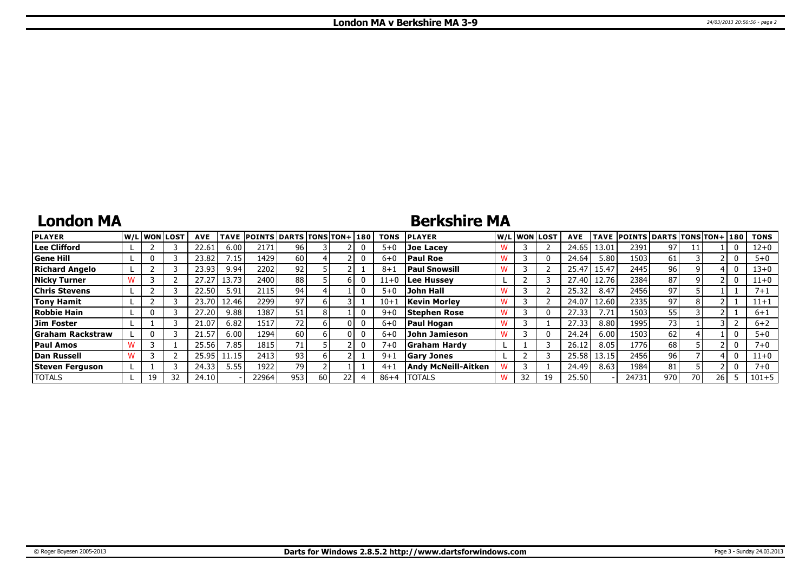### **London MA**

### **Berkshire MA**

| <b>PLAYER</b>          |    | lw/Llwonllost | <b>AVE</b> | TAVE   | <b>POINTS DARTS TONS TON+130</b> |     |      |  | <b>TONS</b> | <b>PLAYER</b>        |    | W/L WON LOST | <b>AVE</b> |       | TAVE POINTS DARTS TONS TON+ 180 |     |    |      | <b>TONS</b> |
|------------------------|----|---------------|------------|--------|----------------------------------|-----|------|--|-------------|----------------------|----|--------------|------------|-------|---------------------------------|-----|----|------|-------------|
| Lee Clifford           |    |               | 22.61      | 6.00   | 2171                             | 96  |      |  | $5 + 0$     | Joe Lacey            |    |              | 24.65      | 13.01 | 2391                            | 97  |    |      | $12 + 0$    |
| <b>Gene Hill</b>       |    |               | 23.82      | 7.15   | 1429                             | 60  |      |  | $6 + 0$     | <b>Paul Roe</b>      |    |              | 24.64      | 5.80  | 1503                            | 61  |    |      | $5 + 0$     |
| <b>Richard Angelo</b>  |    |               | 23.93      | 9.94   | 2202                             | 92  |      |  | $8 + 1$     | <b>Paul Snowsill</b> |    |              | 25.47      | 15.47 | 2445                            | 96  |    |      | $13 + 0$    |
| <b>Nicky Turner</b>    |    |               | 27.27      | 13.73  | 2400                             | 88  |      |  | $11+0$      | Lee Hussey           |    |              | 27.40      | 12.76 | 2384                            | 87  |    |      | $11+0$      |
| <b>Chris Stevens</b>   |    |               | 22.50      | 5.91   | 2115                             | 94  |      |  | $5 + 0$     | John Hall            |    |              | 25.32      | 8.47  | 2456                            | 97  |    |      | $7 + 1$     |
| <b>Tony Hamit</b>      |    |               | 23.70      | 12.46  | 22991                            | 97  |      |  | $10 + 1$    | <b>Kevin Morley</b>  |    |              | 24.07      | 12.60 | 2335                            | 97  |    |      | $11 + 1$    |
| <b>Robbie Hain</b>     |    |               | 27.20      | 9.88   | 1387                             | 51  |      |  | $9 + C$     | Stephen Rose         |    |              | 27.33      | 7.71  | 1503                            | 55  |    |      | $6 + 1$     |
| Jim Foster             |    |               | 21.07      | 6.82   | 1517                             | 72  |      |  | $6 + C$     | <b>Paul Hogan</b>    |    |              | 27.33      | 8.80  | 1995                            | 73  |    |      | $6 + 2$     |
| Graham Rackstraw       |    |               | 21.57      | 6.00   | 1294                             | 60  |      |  | $6 + 0$     | John Jamieson        |    |              | 24.24      | 6.00  | 1503                            | 62  |    |      | $5 + 0$     |
| <b>Paul Amos</b>       |    |               | 25.56      | 7.85   | 1815                             | 71  |      |  | $7 + 0$     | <b>Graham Hardy</b>  |    |              | 26.1       | 8.05  | 1776                            | 68  |    |      | $7 + 0$     |
| Dan Russell            |    |               | 25.95      | l 1.15 | 2413                             | 93  |      |  | 9+ì         | <b>Gary Jones</b>    |    |              | 25.58      | 13.15 | 2456                            | 96  |    |      | $11+0$      |
| <b>Steven Ferguson</b> |    |               | 24.33      | 5.55   | 1922                             | 79  |      |  | $4 + 1$     | Andy McNeill-Aitken  |    |              | 24.49      | 8.63  | 1984                            | 81  |    |      | $7 + 0$     |
| <b>TOTALS</b>          | 19 | 32            | 24.10      |        | 22964                            | 953 | 60 l |  | $86 + 4$    | <b>TOTALS</b>        | 32 |              | 25.50      |       | 24731                           | 970 | 70 | 26 I | $101 + 5$   |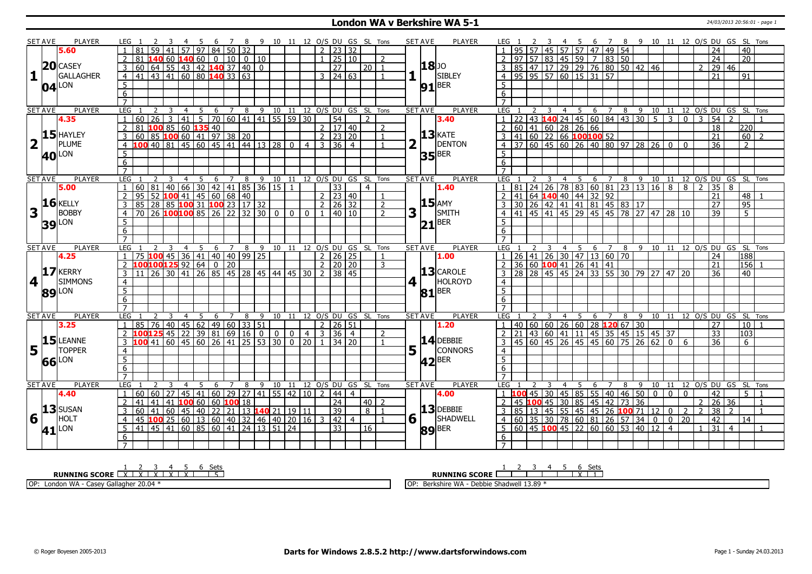### **London WA v Berkshire WA 5-1** 24/03/2013 20:56:01 - page 1

|                 | <b>SET AVE</b>        | <b>PLAYER</b>            | LEG 1               |              |                 |                |                                          |                |                | 7 <sup>7</sup> |                  |                                                                                                                                                                                                                                      |                                  |                |                |                     |                                    | 8 9 10 11 12 O/S DU GS SL Tons | <b>SET AVE</b> |                      | PLAYER                |                  |          |   |                | 4 5                                                                  |   |                 |            |   |                                                                                                                   |                |                 |                |                     | 6 7 8 9 10 11 12 O/S DU GS SL Tons                  |                 |                |
|-----------------|-----------------------|--------------------------|---------------------|--------------|-----------------|----------------|------------------------------------------|----------------|----------------|----------------|------------------|--------------------------------------------------------------------------------------------------------------------------------------------------------------------------------------------------------------------------------------|----------------------------------|----------------|----------------|---------------------|------------------------------------|--------------------------------|----------------|----------------------|-----------------------|------------------|----------|---|----------------|----------------------------------------------------------------------|---|-----------------|------------|---|-------------------------------------------------------------------------------------------------------------------|----------------|-----------------|----------------|---------------------|-----------------------------------------------------|-----------------|----------------|
|                 |                       | 5.60                     |                     |              | $\overline{59}$ |                |                                          |                |                |                | $57$ 97 84 50 32 |                                                                                                                                                                                                                                      |                                  |                |                | $2 \mid 23 \mid 32$ |                                    |                                |                |                      |                       |                  |          |   |                | 45 57 57 47 49 54                                                    |   |                 |            |   |                                                                                                                   |                |                 |                | 24                  |                                                     | 40              |                |
|                 |                       |                          | $\overline{2}$      | 81           |                 |                |                                          |                |                |                |                  | 1406014060001010010                                                                                                                                                                                                                  |                                  |                |                | $1 \ 25 \ 10$       |                                    | $\mathcal{L}$                  |                |                      |                       |                  |          |   |                | $97 \mid 57 \mid 83 \mid 45 \mid 59 \mid 7 \mid 83 \mid 50$          |   |                 |            |   |                                                                                                                   |                |                 |                | $\overline{24}$     |                                                     | 20 <sup>1</sup> |                |
|                 |                       | $20$ CASEY               |                     |              |                 |                |                                          |                |                |                |                  | $\overline{0}$                                                                                                                                                                                                                       |                                  |                |                | $\overline{27}$     | l 20 l                             | $\overline{1}$                 |                |                      | 18 JO                 |                  |          |   |                |                                                                      |   |                 |            |   |                                                                                                                   |                |                 | $\mathcal{P}$  | 29                  | 46                                                  |                 |                |
| 1 <sup>1</sup>  |                       | GALLAGHER                |                     |              |                 |                |                                          |                |                |                |                  |                                                                                                                                                                                                                                      |                                  |                |                | $3 \mid 24 \mid 63$ |                                    | $\overline{1}$                 |                |                      | SIBLEY                |                  |          |   |                | 3 85 47 17 29 29 76 80 50 42 46<br>4 95 95 57 60 15 31 57            |   |                 |            |   |                                                                                                                   |                |                 |                | 21                  |                                                     | 91              |                |
|                 |                       |                          |                     |              |                 |                |                                          |                |                |                |                  |                                                                                                                                                                                                                                      |                                  |                |                |                     |                                    |                                |                |                      |                       |                  |          |   |                |                                                                      |   |                 |            |   |                                                                                                                   |                |                 |                |                     |                                                     |                 |                |
|                 |                       | $04$ <sup>LON</sup>      | $5\overline{)}$     |              |                 |                |                                          |                |                |                |                  |                                                                                                                                                                                                                                      |                                  |                |                |                     |                                    |                                |                |                      | $91$ <sup>BER</sup>   | 5                |          |   |                |                                                                      |   |                 |            |   |                                                                                                                   |                |                 |                |                     |                                                     |                 |                |
|                 |                       |                          | 6                   |              |                 |                |                                          |                |                |                |                  |                                                                                                                                                                                                                                      |                                  |                |                |                     |                                    |                                |                |                      |                       | 6                |          |   |                |                                                                      |   |                 |            |   |                                                                                                                   |                |                 |                |                     |                                                     |                 |                |
|                 |                       |                          | $\overline{7}$      |              |                 |                |                                          |                |                |                |                  |                                                                                                                                                                                                                                      |                                  |                |                |                     |                                    |                                |                |                      |                       | $\overline{7}$   |          |   |                |                                                                      |   |                 |            |   |                                                                                                                   |                |                 |                |                     |                                                     |                 |                |
|                 | <b>SET AVE</b>        | PLAYER                   | <b>LEG</b>          |              | 2               | $\overline{3}$ | $\overline{4}$                           | 5              |                |                |                  |                                                                                                                                                                                                                                      |                                  |                |                |                     | 6 7 8 9 10 11 12 0/S DU GS SL Tons |                                | <b>SET AVE</b> |                      | PLAYER                | LEG <sub>1</sub> |          | 3 |                | 4 5                                                                  |   |                 |            |   |                                                                                                                   |                |                 |                |                     | 6 7 8 9 10 11 12 O/S DU GS SL Tons<br>$\mathcal{D}$ |                 |                |
|                 |                       | 4.35                     | $\overline{1}$      | 60           | $\overline{26}$ | $\boxed{3}$    |                                          |                |                |                |                  | 41 5 70 60 41 41 55 59 30                                                                                                                                                                                                            |                                  |                |                | 54                  | $\overline{2}$                     |                                |                |                      | 3.40                  | $\overline{1}$   |          |   |                |                                                                      |   |                 |            |   | 22 43 140 24 45 60 84 43 30 5 3<br>60 41 60 28 26 66<br>41 60 22 66 100 100 52<br>37 60 45 60 26 40 80 97 28 26 0 |                | $\overline{0}$  | $\mathbf{3}$   | $\overline{54}$     |                                                     |                 |                |
|                 |                       | $15$ HAYLEY              | $\overline{2}$      |              |                 |                |                                          |                |                |                |                  |                                                                                                                                                                                                                                      |                                  |                |                | 2   17   40         |                                    | $\mathcal{L}$                  |                |                      | $13$ <b>KATE</b>      |                  |          |   |                |                                                                      |   |                 |            |   |                                                                                                                   |                |                 |                | $\overline{18}$     |                                                     | 220             |                |
|                 |                       |                          | $\overline{3}$      |              |                 |                |                                          |                |                |                |                  |                                                                                                                                                                                                                                      |                                  |                |                | $2 \mid 23 \mid 20$ |                                    |                                |                |                      |                       | 3                |          |   |                |                                                                      |   |                 |            |   |                                                                                                                   |                |                 |                | $\overline{21}$     |                                                     | 60              | $\overline{2}$ |
| 2 <sup>T</sup>  |                       | PLUME                    |                     |              |                 |                |                                          |                |                |                |                  |                                                                                                                                                                                                                                      |                                  | $\overline{4}$ |                | $3 \mid 36 \mid 4$  |                                    |                                |                |                      | <b>DENTON</b>         |                  |          |   |                |                                                                      |   |                 |            |   |                                                                                                                   |                | $\mathbf{0}$    |                | $\overline{36}$     |                                                     | $\mathcal{P}$   |                |
|                 |                       | <b>40</b> <sup>LON</sup> | 5                   |              |                 |                |                                          |                |                |                |                  |                                                                                                                                                                                                                                      |                                  |                |                |                     |                                    |                                |                |                      | $35$ <sup>BER</sup>   | 5                |          |   |                |                                                                      |   |                 |            |   |                                                                                                                   |                |                 |                |                     |                                                     |                 |                |
|                 |                       |                          | $6\overline{6}$     |              |                 |                |                                          |                |                |                |                  |                                                                                                                                                                                                                                      |                                  |                |                |                     |                                    |                                |                |                      |                       | 6                |          |   |                |                                                                      |   |                 |            |   |                                                                                                                   |                |                 |                |                     |                                                     |                 |                |
|                 |                       |                          | $\overline{7}$      |              |                 |                |                                          |                |                |                |                  |                                                                                                                                                                                                                                      |                                  |                |                |                     |                                    |                                |                |                      |                       |                  |          |   |                |                                                                      |   |                 |            |   |                                                                                                                   |                |                 |                |                     |                                                     |                 |                |
|                 | <b>SET AVE</b>        | <b>PLAYER</b>            | LEG                 |              | 2               | $\overline{3}$ | $\overline{4}$                           | $\overline{5}$ | $6\overline{}$ | $\overline{7}$ |                  |                                                                                                                                                                                                                                      |                                  |                |                |                     | 8 9 10 11 12 O/S DU GS SL Tons     |                                | <b>SET AVE</b> |                      | <b>PLAYER</b>         | LEG              |          |   |                |                                                                      |   |                 |            |   |                                                                                                                   |                |                 |                |                     | 4 5 6 7 8 9 10 11 12 O/S DU GS SL Tons              |                 |                |
|                 |                       | 5.00                     | $\overline{1}$      | 60 81        |                 |                |                                          |                |                |                |                  | 81 40 66 30 42 41 85 36 15 1<br>52 100 41 45 60 68 40<br>28 85 100 31 100 23 17 32<br>26 100 100 85 26 22 32 30 0 0                                                                                                                  |                                  |                |                | $\overline{33}$     | $\overline{4}$                     |                                |                |                      | 1.40                  |                  | 81       |   |                |                                                                      |   |                 |            |   | $\vert$ 24   26   78   83   60   81   23   13   16   8                                                            |                | $\overline{8}$  | $\mathcal{L}$  | $\overline{35}$     | 8                                                   |                 |                |
|                 |                       |                          | 2                   | 95           |                 |                |                                          |                |                |                |                  |                                                                                                                                                                                                                                      |                                  |                |                | $2 \mid 23 \mid 40$ |                                    |                                |                |                      |                       | 2                |          |   |                |                                                                      |   |                 |            |   |                                                                                                                   |                |                 |                | $\overline{21}$     |                                                     | 48              |                |
|                 |                       | $16$ <b>KELLY</b>        | $\overline{3}$      | 85           |                 |                |                                          |                |                |                |                  |                                                                                                                                                                                                                                      |                                  |                |                | $2 \mid 26 \mid 32$ |                                    | $\overline{z}$                 |                |                      | $15$ AMY              | 3                |          |   |                |                                                                      |   |                 |            |   | 41 64 <b>140</b> 40 44 32 92<br>30 26 42 41 41 81 45 83 17<br>41 45 41 45 29 45 45 78 27 47 28 10                 |                |                 |                | $\overline{27}$     |                                                     | $\overline{95}$ |                |
| $\mathbf{3}$    |                       | <b>BOBBY</b>             | $\overline{4}$      | 70           |                 |                |                                          |                |                |                |                  |                                                                                                                                                                                                                                      |                                  | $\Omega$       | $\mathbf{1}$   | $140$ 10            |                                    | $\overline{2}$                 | 3              |                      | SMITH                 |                  |          |   |                |                                                                      |   |                 |            |   |                                                                                                                   |                |                 |                | $\overline{39}$     |                                                     | 5.              |                |
|                 | 39                    | LON                      | $\overline{5}$      |              |                 |                |                                          |                |                |                |                  |                                                                                                                                                                                                                                      |                                  |                |                |                     |                                    |                                |                |                      | $21$ <sup>BER</sup>   | $5\overline{5}$  |          |   |                |                                                                      |   |                 |            |   |                                                                                                                   |                |                 |                |                     |                                                     |                 |                |
|                 |                       |                          | 6                   |              |                 |                |                                          |                |                |                |                  |                                                                                                                                                                                                                                      |                                  |                |                |                     |                                    |                                |                |                      |                       | 6                |          |   |                |                                                                      |   |                 |            |   |                                                                                                                   |                |                 |                |                     |                                                     |                 |                |
|                 |                       |                          | $\overline{7}$      |              |                 |                |                                          |                |                |                |                  |                                                                                                                                                                                                                                      |                                  |                |                |                     |                                    |                                |                |                      |                       | $\overline{7}$   |          |   |                |                                                                      |   |                 |            |   |                                                                                                                   |                |                 |                |                     |                                                     |                 |                |
|                 | <b>SET AVE</b>        | <b>PLAYER</b>            | <b>LEG</b>          |              |                 | 3              | $\overline{4}$                           | 5              |                |                |                  |                                                                                                                                                                                                                                      |                                  |                |                |                     | 6 7 8 9 10 11 12 0/S DU GS SL Tons |                                | <b>SET AVE</b> |                      | <b>PLAYER</b>         | LEG <sub>1</sub> |          |   |                |                                                                      |   |                 |            |   |                                                                                                                   |                |                 |                |                     | 4 5 6 7 8 9 10 11 12 O/S DU GS SL Tons              |                 |                |
|                 |                       | 4.25                     | $\overline{1}$      |              |                 |                |                                          |                |                |                |                  |                                                                                                                                                                                                                                      |                                  |                |                |                     |                                    | $\mathbf{1}$                   |                |                      | 1.00 <sub>1</sub>     | l 1.             |          |   |                | 26 41 26 30 47 13 60 70                                              |   |                 |            |   |                                                                                                                   |                |                 |                | 24                  |                                                     | 188             |                |
|                 |                       |                          | $\overline{2}$      |              |                 |                |                                          |                |                |                |                  |                                                                                                                                                                                                                                      |                                  |                |                |                     |                                    | 3                              |                |                      |                       |                  |          |   |                | 36 60 100 41 26 41 41                                                |   |                 |            |   |                                                                                                                   |                |                 |                | 21                  |                                                     | 156             |                |
|                 |                       | 17 KERRY                 | $\overline{3}$      |              |                 |                |                                          |                |                |                |                  |                                                                                                                                                                                                                                      |                                  |                |                |                     |                                    |                                |                |                      | 13 CAROLE             |                  |          |   |                |                                                                      |   |                 |            |   | 28 28 45 45 24 33 55 30 79 27 47 20                                                                               |                |                 |                | 36                  |                                                     | 40              |                |
| 4 1             |                       | <b>SIMMONS</b>           | $\overline{4}$      |              |                 |                |                                          |                |                |                |                  |                                                                                                                                                                                                                                      |                                  |                |                |                     |                                    |                                | 4 <sup>1</sup> |                      | <b>HOLROYD</b>        | $\overline{4}$   |          |   |                |                                                                      |   |                 |            |   |                                                                                                                   |                |                 |                |                     |                                                     |                 |                |
|                 |                       | 89 LON                   | $\overline{5}$      |              |                 |                |                                          |                |                |                |                  |                                                                                                                                                                                                                                      |                                  |                |                |                     |                                    |                                |                |                      | $81$ <sup>BER</sup>   | $\overline{5}$   |          |   |                |                                                                      |   |                 |            |   |                                                                                                                   |                |                 |                |                     |                                                     |                 |                |
|                 |                       |                          | 6                   |              |                 |                |                                          |                |                |                |                  |                                                                                                                                                                                                                                      |                                  |                |                |                     |                                    |                                |                |                      |                       | 6                |          |   |                |                                                                      |   |                 |            |   |                                                                                                                   |                |                 |                |                     |                                                     |                 |                |
|                 |                       |                          | $\overline{7}$      |              |                 |                |                                          |                |                |                |                  |                                                                                                                                                                                                                                      |                                  |                |                |                     |                                    |                                |                |                      |                       | $\overline{7}$   |          |   |                |                                                                      |   |                 |            |   |                                                                                                                   |                |                 |                |                     |                                                     |                 |                |
|                 | <b>SET AVE</b>        | <b>PLAYER</b>            | <b>LEG</b>          |              | $\overline{2}$  |                | $\overline{4}$                           | 5              | 6              | $\overline{7}$ | 8                | 9                                                                                                                                                                                                                                    | 10 11                            |                |                |                     | 12 O/S DU GS SL Tons               |                                | <b>SET AVE</b> |                      | <b>PLAYER</b>         | <b>LEG</b>       |          |   | 4              | 5                                                                    | 6 | $7\overline{ }$ | 8          | 9 |                                                                                                                   | 10 11          |                 |                |                     | 12 O/S DU GS SL                                     |                 | Tons           |
|                 |                       | 3.25                     | 1                   |              |                 |                |                                          |                |                |                |                  | <u>  85   76   40   45   62   49   60   33   51   76   40   45   62   49   60   33   51   76   90   16   0   0   16   0   0   16   0   0   16   0   0   16   0   0   16   0   0   16   0   0   16   0   0   16   0   0   0   0  </u> |                                  |                |                | 2   26   51         |                                    |                                |                |                      | 1.20                  | $\overline{1}$   |          |   |                |                                                                      |   |                 |            |   | 40 60 60 26 60 28 <b>120</b> 67 30<br>21 43 60 41 11 45 35 45 15 45 37                                            |                |                 |                | 27                  |                                                     | 10 <sup>1</sup> |                |
|                 |                       |                          | 2                   |              |                 |                |                                          |                |                |                |                  |                                                                                                                                                                                                                                      | $\overline{0}$                   | 4              |                | $3 \mid 36 \mid 4$  |                                    | $\overline{2}$                 |                |                      |                       | <sup>2</sup>     |          |   |                |                                                                      |   |                 |            |   |                                                                                                                   |                |                 |                | $\overline{33}$     |                                                     | 103             |                |
|                 |                       | $15$ LEANNE              | $\overline{3}$      | $100$ 41 60  |                 |                |                                          |                |                |                |                  | 45 60 26 41 25 53 30                                                                                                                                                                                                                 |                                  | $0$   20       |                | 34   20             |                                    |                                |                |                      | $14$ DEBBIE           | 3                |          |   |                | $\overline{45}$ 60 $\overline{45}$ 26 $\overline{45}$ 45 60 75 26 62 |   |                 |            |   |                                                                                                                   | $\mathbf{0}$   | 6               |                | $\overline{36}$     |                                                     | 6               |                |
|                 | $5\vert$ <sup>T</sup> | <b>TOPPER</b>            | $\overline{4}$      |              |                 |                |                                          |                |                |                |                  |                                                                                                                                                                                                                                      |                                  |                |                |                     |                                    |                                |                | ${\bf 5}$ $\bar{\ }$ | <b>CONNORS</b>        | $\overline{4}$   |          |   |                |                                                                      |   |                 |            |   |                                                                                                                   |                |                 |                |                     |                                                     |                 |                |
|                 |                       | LON                      | $5\overline{)}$     |              |                 |                |                                          |                |                |                |                  |                                                                                                                                                                                                                                      |                                  |                |                |                     |                                    |                                |                |                      | $ 42 $ <sup>BER</sup> | $\overline{5}$   |          |   |                |                                                                      |   |                 |            |   |                                                                                                                   |                |                 |                |                     |                                                     |                 |                |
|                 | 66                    |                          | 6                   |              |                 |                |                                          |                |                |                |                  |                                                                                                                                                                                                                                      |                                  |                |                |                     |                                    |                                |                |                      |                       | 6                |          |   |                |                                                                      |   |                 |            |   |                                                                                                                   |                |                 |                |                     |                                                     |                 |                |
|                 |                       |                          | $\overline{7}$      |              |                 |                |                                          |                |                |                |                  |                                                                                                                                                                                                                                      |                                  |                |                |                     |                                    |                                |                |                      |                       | $\overline{7}$   |          |   |                |                                                                      |   |                 |            |   |                                                                                                                   |                |                 |                |                     |                                                     |                 |                |
|                 | <b>SET AVE</b>        | PLAYER                   | <b>LEG</b>          |              |                 |                | $\overline{4}$                           | 5              | 6              | $\overline{7}$ | 8                |                                                                                                                                                                                                                                      |                                  |                |                |                     | 9 10 11 12 O/S DU GS SL Tons       |                                | <b>SET AVE</b> |                      | <b>PLAYER</b>         | LEG <sub>1</sub> |          |   | $\overline{4}$ | - 5                                                                  | 6 | $\overline{7}$  | 8          |   | 9 10 11                                                                                                           |                |                 |                |                     | 12 O/S DU GS SL Tons                                |                 |                |
|                 |                       | 4.40                     | $\mathbf{1}$        | 60   60   27 |                 |                |                                          |                |                |                |                  | 45 41 60 29 27 41 55 42 10                                                                                                                                                                                                           |                                  |                | $\overline{2}$ | 44 4                |                                    |                                |                |                      | 4.00                  |                  | $1\,100$ |   |                | 45 30 45 85 55 40 46 50 0                                            |   |                 |            |   |                                                                                                                   | $\mathbf 0$    | $\Omega$        |                | 42                  |                                                     | 5 <sup>1</sup>  | $\overline{1}$ |
|                 |                       |                          | 2                   | l 41         | 41              |                | 41   <mark>100</mark> 60   60   100   18 |                |                |                |                  |                                                                                                                                                                                                                                      |                                  |                |                | 24                  | 40   2                             |                                |                |                      |                       |                  | 45       |   |                | 100 45 30 85 45 42 73 36                                             |   |                 |            |   |                                                                                                                   |                |                 |                | $2 \mid 26 \mid 36$ |                                                     |                 | $\overline{1}$ |
|                 |                       | $13$ SUSAN               | $\overline{3}$      | 60   41      |                 |                | 60   45   40   22   21                   |                |                |                |                  | 13 <b>140</b> 21 19 11                                                                                                                                                                                                               |                                  |                |                | $\overline{39}$     | $\overline{8}$                     |                                |                |                      | $13$ DEBBIE           |                  |          |   |                | 85   13   45   55   45   45   26 <mark>100</mark> 71   12            |   |                 |            |   |                                                                                                                   | $\mathbf{0}$   | $\overline{2}$  | $\overline{2}$ | $\overline{38}$     | $\overline{2}$                                      |                 |                |
| $6\overline{1}$ |                       | <b>HOLT</b>              | $\overline{4}$      |              |                 |                | 45 100 25 60 13 60 40                    |                |                |                |                  | 32   46   40   20   16                                                                                                                                                                                                               |                                  |                | 3              | $\vert 42 \vert 4$  |                                    |                                | 6              |                      | SHADWELL              | $\overline{4}$   | 60       |   |                | $35 \ 30 \ 78 \ 60 \ 81$                                             |   |                 | $26$ 57 34 |   | $\mathbf 0$                                                                                                       | $\mathbf 0$    | $\overline{20}$ |                | 42                  |                                                     | 14              |                |
|                 |                       |                          | 5                   |              |                 |                |                                          |                |                |                |                  |                                                                                                                                                                                                                                      | 41 45 41 60 85 60 41 24 13 51 24 |                |                | $\overline{33}$     | 16                                 |                                |                |                      |                       | 5                |          |   |                |                                                                      |   |                 |            |   | 60 45 100 45 22 60 60 53 40 12                                                                                    | $\overline{4}$ |                 |                | 31                  | $\overline{4}$                                      |                 |                |
|                 |                       |                          |                     |              |                 |                |                                          |                |                |                |                  |                                                                                                                                                                                                                                      |                                  |                |                |                     |                                    |                                |                |                      |                       |                  |          |   |                |                                                                      |   |                 |            |   |                                                                                                                   |                |                 |                |                     |                                                     |                 |                |
|                 | $41^{\text{LON}}$     |                          |                     |              |                 |                |                                          |                |                |                |                  |                                                                                                                                                                                                                                      |                                  |                |                |                     |                                    |                                |                |                      | 89 <sup>BER</sup>     |                  |          |   |                |                                                                      |   |                 |            |   |                                                                                                                   |                |                 |                |                     |                                                     |                 |                |
|                 |                       |                          | 6<br>$\overline{7}$ |              |                 |                |                                          |                |                |                |                  |                                                                                                                                                                                                                                      |                                  |                |                |                     |                                    |                                |                |                      |                       | 6                |          |   |                |                                                                      |   |                 |            |   |                                                                                                                   |                |                 |                |                     |                                                     |                 |                |

| - Set.<br><b>RUNNING SCORE</b><br>$\ddot{\phantom{1}}$                | Set:<br>i SCORE<br><b>RUNNING</b><br>$\ddot{\phantom{1}}$ |
|-----------------------------------------------------------------------|-----------------------------------------------------------|
| $20.04*$<br>OP:<br>Gallaghe<br><b>Pacav</b><br>Londor<br>i WA<br>caso | 13.89<br>Berkshire WA<br>Shadwell<br>- Debbie             |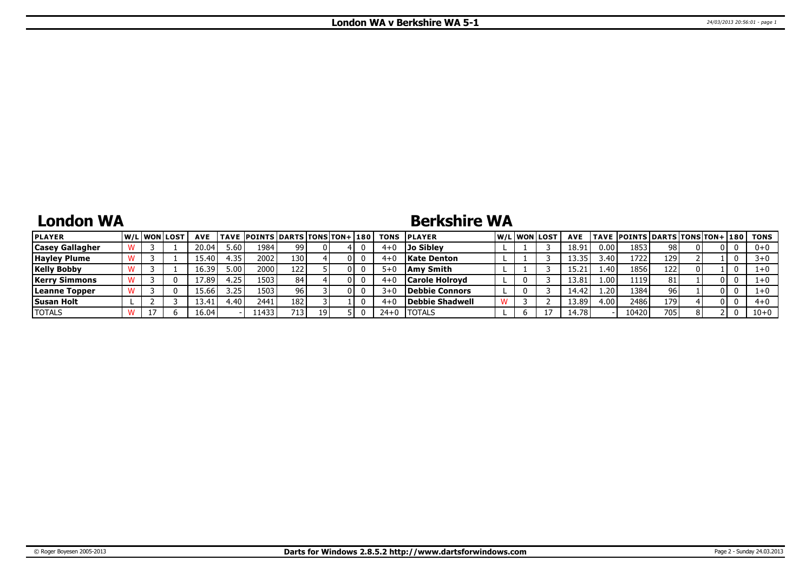## **London WA**

### **Berkshire WA**

| <b>PLAYER</b>          |  | W/Liwonilost | <b>AVE</b> |        | <b>TAVE POINTS DARTS TONS TON+ 180</b> |     |  |         | <b>TONS PLAYER</b>    |   | W/Liwonilost/ | <b>AVE</b> |                   | TAVE  POINTS   DARTS   TONS   TON+   180 |     |  | TONS     |
|------------------------|--|--------------|------------|--------|----------------------------------------|-----|--|---------|-----------------------|---|---------------|------------|-------------------|------------------------------------------|-----|--|----------|
| <b>Casey Gallagher</b> |  |              | 20.04      | 5.60   | 1984                                   | 99. |  | $4 + 0$ | Jo Siblev             |   |               | 18.91      | 0.00              | 1853                                     | 98  |  | $0+0$    |
| <b>Hayley Plume</b>    |  |              | .5.40      | 4.35   | 2002                                   | 130 |  | 4+0     | <b>Kate Denton</b>    |   |               | 13.35      | 3.40              | 1722                                     | 129 |  | $3 + 0$  |
| <b>Kelly Bobby</b>     |  |              | 16.39      | ,00    | 2000                                   | 122 |  | $5+0$   | Amv Smith             |   |               | 15.21      | 1.40              | 1856                                     | 122 |  | 1+0      |
| <b>Kerry Simmons</b>   |  |              | 7.89       | 4.25   | 1503                                   | 84  |  | $4 + 0$ | <b>Carole Holrovd</b> |   |               | 13.81      | 1.00              | 1119                                     | 81  |  | $1+0$    |
| Leanne Topper          |  |              | ا 5.661    | 3.25   | 1503                                   |     |  | $3+0$   | Debbie Connors        | 0 |               | 14.42      | 4.20 <sup>1</sup> | 1384                                     | 96  |  | $1+0$    |
| <b>Susan Holt</b>      |  |              | 13.41      | $+40'$ | 2441                                   | 182 |  | 4+0     | Debbie Shadwell       |   |               | 13.89      | 4.00              | 2486                                     | 179 |  | $4 + 0$  |
| <b>TOTALS</b>          |  |              | 16.04'     |        | 11433'                                 | 713 |  | $24+0$  | 'TOTALS               |   |               | 14.78      |                   | 10420                                    | 705 |  | $10 + 0$ |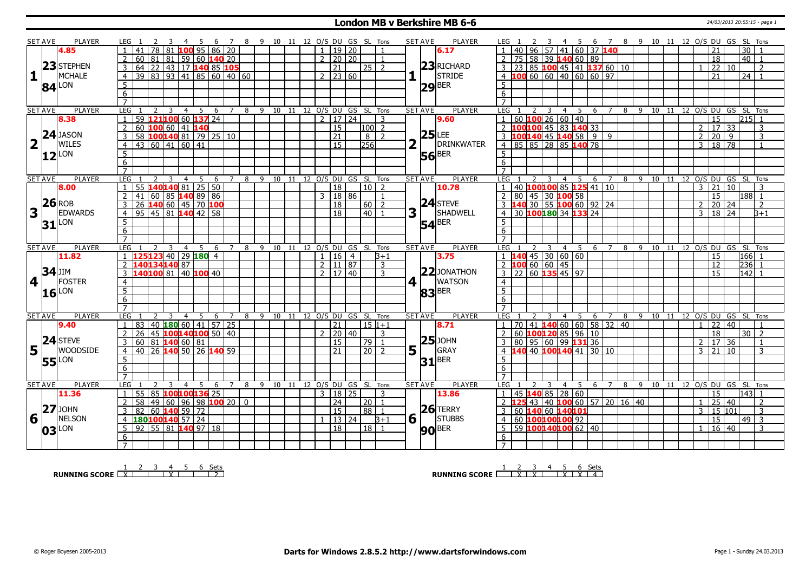#### **London MB v Berkshire MB 6-6** 24/03/2013 20:55:15 - page 1

|                | SET AVE         | PLAYER                  |                     | LEG 1           |                         |                                                  |      |       | <sup>7</sup>   |                | 8 9 10 11 12 O/S DU GS SL Tons   |    |         |           |                                |            |                  |                         |             | <b>PLAYER</b><br><b>SET AVE</b> |                     |                                              |                |                         |                | 45                           |                      |                |                          |   |         |  |                |                                |              | 6 7 8 9 10 11 12 O/S DU GS SL Tons     |  |
|----------------|-----------------|-------------------------|---------------------|-----------------|-------------------------|--------------------------------------------------|------|-------|----------------|----------------|----------------------------------|----|---------|-----------|--------------------------------|------------|------------------|-------------------------|-------------|---------------------------------|---------------------|----------------------------------------------|----------------|-------------------------|----------------|------------------------------|----------------------|----------------|--------------------------|---|---------|--|----------------|--------------------------------|--------------|----------------------------------------|--|
|                |                 | 4.85                    |                     | 41              | $\overline{78}$<br>l 81 |                                                  |      |       | 100 95 86 20   |                |                                  |    |         |           | 19 20                          |            |                  |                         |             | 6.17                            |                     |                                              |                |                         |                |                              | 96 57 41 60 37 140   |                |                          |   |         |  |                | 21                             |              | $\overline{30}$                        |  |
|                |                 |                         | 2                   |                 |                         | $60 \ 81 \ 81 \ 59 \ 60 \ 140 \ 20$              |      |       |                |                |                                  |    |         |           | $2 \mid 20 \mid 20$            |            |                  |                         |             |                                 | <sup>2</sup>        | 75 58 39 140 60 89                           |                |                         |                |                              |                      |                |                          |   |         |  |                | 18                             |              | $40$   1                               |  |
|                |                 | $23$ STEPHEN            | $\overline{3}$      |                 |                         | 64 22 43 17 140 85 105                           |      |       |                |                |                                  |    |         |           | $\overline{21}$                |            | 25   2           |                         |             | $23$ RICHARD                    | 3                   | 23 85 100 45 41 137 60 10                    |                |                         |                |                              |                      |                |                          |   |         |  |                | $\overline{22}$                | 10           | $\overline{2}$                         |  |
| $\mathbf{1}$   |                 | <b>MCHALE</b>           | $\overline{4}$      |                 |                         | 39 83 93 41 85 60 40 60                          |      |       |                |                |                                  |    |         |           | $2 \mid 23 \mid 60$            |            |                  |                         |             | STRIDE                          |                     | 4 100 60 60 40 60 60 97                      |                |                         |                |                              |                      |                |                          |   |         |  |                | 21                             |              | $24$ 1                                 |  |
|                |                 | _ON                     | $5\overline{)}$     |                 |                         |                                                  |      |       |                |                |                                  |    |         |           |                                |            |                  |                         |             |                                 | 5                   |                                              |                |                         |                |                              |                      |                |                          |   |         |  |                |                                |              |                                        |  |
|                | 84              |                         | 6                   |                 |                         |                                                  |      |       |                |                |                                  |    |         |           |                                |            |                  |                         |             | $ 29 $ BER                      | 6                   |                                              |                |                         |                |                              |                      |                |                          |   |         |  |                |                                |              |                                        |  |
|                |                 |                         | $\overline{7}$      |                 |                         |                                                  |      |       |                |                |                                  |    |         |           |                                |            |                  |                         |             |                                 |                     |                                              |                |                         |                |                              |                      |                |                          |   |         |  |                |                                |              |                                        |  |
|                | <b>SET AVE</b>  | <b>PLAYER</b>           | LEG                 |                 | <sup>2</sup>            | $\overline{\mathbf{3}}$<br>$\overline{4}$        | $-5$ | 6     |                |                | 7 8 9 10 11 12 O/S DU GS SL Tons |    |         |           |                                |            |                  |                         |             | <b>PLAYER</b><br><b>SET AVE</b> | LEG 1               |                                              | $\overline{2}$ | $\overline{\mathbf{3}}$ |                |                              |                      |                |                          |   |         |  |                |                                |              | 4 5 6 7 8 9 10 11 12 O/S DU GS SL Tons |  |
|                |                 | 8.38                    | $\overline{1}$      |                 |                         | 59 121100 60 137 24                              |      |       |                |                |                                  |    |         |           | $\frac{1}{2}$ 17 24            |            |                  | 3                       |             | 9.60                            | $\overline{1}$      | $60$ 100 26 60 40                            |                |                         |                |                              |                      |                |                          |   |         |  |                | 15                             |              | $215$ 1                                |  |
|                |                 |                         | $\overline{2}$      |                 |                         | 60 100 60 41 140                                 |      |       |                |                |                                  |    |         |           | 15                             |            | l100l            | $\overline{2}$          |             |                                 |                     | LOO <mark>100</mark> 45   83 <b>140</b> 33   |                |                         |                |                              |                      |                |                          |   |         |  | 2              | l 17 l                         | 33           | 3                                      |  |
|                | $\overline{24}$ |                         | $\overline{3}$      |                 |                         | 58 100 140 81 79 25 10                           |      |       |                |                |                                  |    |         |           | 21                             |            | 8                | $\overline{z}$          |             | $25$ LEE                        |                     |                                              |                |                         |                |                              | 00 140 45 140 58 9 9 |                |                          |   |         |  | $\overline{2}$ | $\overline{20}$                | 9            | 3                                      |  |
|                |                 | JASON<br>WILES          | $\overline{4}$      |                 |                         | 43 60 41 60 41                                   |      |       |                |                |                                  |    |         |           | $\overline{15}$                |            | $\overline{256}$ |                         |             | DRINKWATER                      |                     | 4 85 85 28 85 140 78                         |                |                         |                |                              |                      |                |                          |   |         |  | 3              | 18 78                          |              | $\overline{1}$                         |  |
|                |                 |                         |                     |                 |                         |                                                  |      |       |                |                |                                  |    |         |           |                                |            |                  |                         |             |                                 | $5^{\circ}$         |                                              |                |                         |                |                              |                      |                |                          |   |         |  |                |                                |              |                                        |  |
|                | 12              | LON                     | $5\overline{)}$     |                 |                         |                                                  |      |       |                |                |                                  |    |         |           |                                |            |                  |                         |             | $56$ <sup>BER</sup>             |                     |                                              |                |                         |                |                              |                      |                |                          |   |         |  |                |                                |              |                                        |  |
|                |                 |                         | 6<br>$\overline{7}$ |                 |                         |                                                  |      |       |                |                |                                  |    |         |           |                                |            |                  |                         |             |                                 | 6<br>$\overline{7}$ |                                              |                |                         |                |                              |                      |                |                          |   |         |  |                |                                |              |                                        |  |
|                |                 |                         |                     |                 |                         |                                                  |      |       |                |                |                                  |    |         |           |                                |            |                  |                         |             |                                 |                     |                                              |                |                         |                |                              |                      |                |                          |   |         |  |                |                                |              |                                        |  |
|                | <b>SET AVE</b>  | <b>PLAYER</b>           | <b>LEG</b>          |                 |                         | $\overline{4}$                                   | -5   | -6    | $7^{\circ}$    | 8              | 9                                | 10 | 11      |           | 12 O/S DU GS SL Tons           |            | $10$   2         |                         |             | <b>SET AVE</b><br><b>PLAYER</b> | LEG                 | 40 100100 85 125 41 10                       |                | 3                       |                | 4 5                          | - 6                  | $\overline{7}$ | 8                        |   | 9 10 11 |  |                | 12 O/S DU GS SL<br>$3 \mid 21$ |              | Tons                                   |  |
|                |                 | 8.00                    | $\overline{1}$      | 41              |                         | 55 140 140 81<br>60 85 140 89 86                 |      | 25 50 |                |                |                                  |    |         |           | 18                             |            |                  |                         |             | 10.78                           |                     |                                              |                |                         |                |                              |                      |                |                          |   |         |  |                |                                | 10           | 3                                      |  |
|                |                 | $26$ ROB                | $\overline{2}$      |                 |                         |                                                  |      |       |                |                |                                  |    |         |           | 3   18   86                    |            |                  | $\mathbf{1}$            |             | $24$ STEVE                      | $\overline{2}$      | 80 45 30 100 58                              |                |                         |                |                              |                      |                |                          |   |         |  |                | 15                             |              | $188$ 1                                |  |
|                |                 |                         | 3                   |                 |                         | 26 140 60 45 70 100                              |      |       |                |                |                                  |    |         |           | 18                             |            | $60$   2         |                         |             |                                 |                     | 3 140 30 55 100 60 92 24                     |                |                         |                |                              |                      |                |                          |   |         |  | $\mathcal{L}$  | $\overline{20}$                | $ 24\rangle$ | $\overline{2}$                         |  |
| 3              |                 | <b>EDWARDS</b>          | $\overline{4}$      |                 |                         | 95 45 81 140 42 58                               |      |       |                |                |                                  |    |         |           | $\overline{18}$                |            | $\sqrt{40}$      | $\overline{\mathbf{1}}$ | 3           | <b>SHADWELL</b>                 | $\overline{4}$      | 30 100180 34 133 24                          |                |                         |                |                              |                      |                |                          |   |         |  | $\mathbf{3}$   | $18 \mid 24$                   |              | $\overline{B+1}$                       |  |
|                |                 | $31$ <sup>LON</sup>     | 5                   |                 |                         |                                                  |      |       |                |                |                                  |    |         |           |                                |            |                  |                         |             | $54$ <sup>BER</sup>             | 5                   |                                              |                |                         |                |                              |                      |                |                          |   |         |  |                |                                |              |                                        |  |
|                |                 |                         | 6                   |                 |                         |                                                  |      |       |                |                |                                  |    |         |           |                                |            |                  |                         |             |                                 | 6                   |                                              |                |                         |                |                              |                      |                |                          |   |         |  |                |                                |              |                                        |  |
|                |                 |                         | $\overline{7}$      |                 |                         |                                                  |      |       |                |                |                                  |    |         |           |                                |            |                  |                         |             |                                 | $\overline{7}$      |                                              |                |                         |                |                              |                      |                |                          |   |         |  |                |                                |              |                                        |  |
| <b>SET AVE</b> |                 | <b>PLAYER</b>           | <b>LEG</b>          |                 |                         | 3<br>$\overline{4}$                              | - 5  | -6    |                | 8              | 9                                | 10 | - 11    | 12 O/S DU | $\overline{16}$ $\overline{4}$ | GS SL Tons |                  |                         |             | <b>SET AVE</b><br><b>PLAYER</b> | LEG                 |                                              |                |                         | $\overline{4}$ | - 5                          | 6                    |                | 8                        | 9 | 10 11   |  |                | 12 O/S DU GS SL                |              | Tons                                   |  |
|                |                 | 11.82                   | $\overline{1}$      |                 |                         | $125123$ 40 29 180 4                             |      |       |                |                |                                  |    |         |           |                                |            |                  | $3 + 1$                 |             | 3.75                            |                     |                                              |                |                         |                | $45 \mid 30 \mid 60 \mid 60$ |                      |                |                          |   |         |  |                | 15                             |              | 166 l                                  |  |
|                |                 |                         |                     |                 |                         |                                                  |      |       |                |                |                                  |    |         |           |                                |            |                  |                         |             |                                 |                     |                                              |                |                         |                |                              |                      |                |                          |   |         |  |                |                                |              |                                        |  |
|                |                 |                         | 2                   | 140134140 87    |                         |                                                  |      |       |                |                |                                  |    |         |           | 2   11   87                    |            |                  | 3                       |             |                                 | 2100                |                                              |                |                         | $60 \ 60 \ 45$ |                              |                      |                |                          |   |         |  |                | 12                             |              | 236                                    |  |
|                | <b>34</b> JIM   |                         | 3                   |                 |                         | 140100 81 40 100 40                              |      |       |                |                |                                  |    |         |           | $2 \mid 17 \mid 40$            |            |                  | $\mathcal{R}$           |             | $22$ JONATHON                   |                     | $3 \mid 22 \mid 60 \mid 135 \mid 45 \mid 97$ |                |                         |                |                              |                      |                |                          |   |         |  |                | 15                             |              | 142 1                                  |  |
| 4 <sup>1</sup> |                 | FOSTER                  | $\overline{4}$      |                 |                         |                                                  |      |       |                |                |                                  |    |         |           |                                |            |                  |                         | 4 1         | <b>WATSON</b>                   | $\overline{4}$      |                                              |                |                         |                |                              |                      |                |                          |   |         |  |                |                                |              |                                        |  |
|                |                 | _ON                     | $\overline{5}$      |                 |                         |                                                  |      |       |                |                |                                  |    |         |           |                                |            |                  |                         |             |                                 | $\overline{5}$      |                                              |                |                         |                |                              |                      |                |                          |   |         |  |                |                                |              |                                        |  |
|                | <b>16</b>       |                         | 6                   |                 |                         |                                                  |      |       |                |                |                                  |    |         |           |                                |            |                  |                         |             | $83$ BER                        | 6                   |                                              |                |                         |                |                              |                      |                |                          |   |         |  |                |                                |              |                                        |  |
|                |                 |                         | $\overline{7}$      |                 |                         |                                                  |      |       |                |                |                                  |    |         |           |                                |            |                  |                         |             |                                 | $\overline{7}$      |                                              |                |                         |                |                              |                      |                |                          |   |         |  |                |                                |              |                                        |  |
|                | <b>SET AVE</b>  | <b>PLAYER</b>           | <b>LEG</b>          |                 | 2                       | $\overline{3}$<br>$\overline{4}$                 | 5    | 6     | $\overline{7}$ | 8              | 9 10 11 12 0/S DU GS SL Tons     |    |         |           |                                |            |                  |                         |             | <b>PLAYER</b><br><b>SET AVE</b> | <b>LEG</b>          |                                              |                | 3                       | $\overline{4}$ | $-5$                         | 6                    | $\overline{7}$ | $\overline{\phantom{a}}$ |   |         |  |                |                                |              | 9 10 11 12 0/S DU GS SL Tons           |  |
|                |                 | 9.40                    | $\mathbf{1}$        | $ 83\rangle$    |                         | 40 <b>180</b> 60 41 57 25                        |      |       |                |                |                                  |    |         |           | 21                             |            | $15 1+1$         |                         |             | 8.71                            | $\overline{1}$      | 70 41 140 60 60 58 32 40                     |                |                         |                |                              |                      |                |                          |   |         |  | $\mathbf{1}$   | $\overline{22}$                | $ 40\rangle$ | $\overline{1}$                         |  |
|                |                 |                         | <sup>2</sup>        | 26              |                         | 45 <mark>100</mark> 140 <mark>100</mark> 50   40 |      |       |                |                |                                  |    |         |           | 2   20   40                    |            |                  | 3                       |             |                                 | $\overline{2}$      | 60 $10012085$ 96 10                          |                |                         |                |                              |                      |                |                          |   |         |  |                | 18                             |              | 30 <sup>1</sup><br>$\overline{2}$      |  |
|                |                 |                         | $\overline{3}$      |                 |                         | 60   81   140   60   81                          |      |       |                |                |                                  |    |         |           | 15                             |            | 79               |                         |             | $25$ JOHN                       | 3                   | 80 95 60 99 131 36                           |                |                         |                |                              |                      |                |                          |   |         |  | $2^{\circ}$    | 17                             | 36           | $\overline{1}$                         |  |
|                |                 | WOODSIDE                | $\overline{4}$      |                 |                         | 40 26 140 50 26 140 59                           |      |       |                |                |                                  |    |         |           | 21                             |            | l 20 l           | $\overline{z}$          | 5           | GRAY                            |                     |                                              |                |                         |                | 40 100140 41                 |                      | $30 \mid 10$   |                          |   |         |  | 3              | l 21 l                         | 10           | 3                                      |  |
|                |                 | $5$ <sup>24</sup> STEVE | 5                   |                 |                         |                                                  |      |       |                |                |                                  |    |         |           |                                |            |                  |                         |             |                                 | 5                   |                                              |                |                         |                |                              |                      |                |                          |   |         |  |                |                                |              |                                        |  |
|                |                 | <b>55</b> LON           | 6                   |                 |                         |                                                  |      |       |                |                |                                  |    |         |           |                                |            |                  |                         |             | $31$ <sup>BER</sup>             | 6                   |                                              |                |                         |                |                              |                      |                |                          |   |         |  |                |                                |              |                                        |  |
|                |                 |                         | $\overline{7}$      |                 |                         |                                                  |      |       |                |                |                                  |    |         |           |                                |            |                  |                         |             |                                 | $\overline{7}$      |                                              |                |                         |                |                              |                      |                |                          |   |         |  |                |                                |              |                                        |  |
|                | <b>SET AVE</b>  | PLAYER                  | <b>LEG</b>          |                 | $\mathcal{L}$           | 3<br>4                                           | -5.  | 6     | 7              | 8              |                                  |    | 9 10 11 |           | 12 O/S DU GS SL Tons           |            |                  |                         |             | <b>SET AVE</b><br><b>PLAYER</b> | LEG                 |                                              |                | 3                       | 4              | 5                            | - 6                  | $\overline{7}$ | 8                        |   | 9 10 11 |  |                |                                |              | 12 O/S DU GS SL Tons                   |  |
|                |                 | 11.36                   | $\overline{1}$      | 55              |                         | 85 100100136 25                                  |      |       |                |                |                                  |    |         |           | 3   18   25                    |            |                  | 3                       |             | 13.86                           | $\overline{1}$      | 45 140 85 28 60                              |                |                         |                |                              |                      |                |                          |   |         |  |                | 15                             |              | $\overline{143}$ 1                     |  |
|                |                 |                         | 2                   | $\overline{58}$ |                         | 49   60   96   98 <mark>100</mark> 20            |      |       |                | $\overline{0}$ |                                  |    |         |           | 24                             |            | $20$   1         |                         |             |                                 |                     |                                              |                |                         |                |                              |                      |                | 43 40 100 60 57 20 16 40 |   |         |  |                | $\overline{25}$                | 40           | $\mathcal{L}$                          |  |
|                | 27              | <b>JOHN</b>             | $\overline{3}$      |                 |                         | 82 60 140 59 72                                  |      |       |                |                |                                  |    |         |           | $\overline{15}$                |            | 188 I            | $\overline{1}$          |             | $26$ TERRY                      | 3                   | 60 140 60 140101                             |                |                         |                |                              |                      |                |                          |   |         |  |                | $3 \mid 15 \mid 101$           |              | 3                                      |  |
| 6              |                 | <b>NELSON</b>           | $\overline{4}$      | 180100140 57 24 |                         |                                                  |      |       |                |                |                                  |    |         |           | 13 24                          |            |                  | $3+1$                   | $6\sqrt{ }$ | <b>STUBBS</b>                   | $\overline{4}$      | 60 100100100 92                              |                |                         |                |                              |                      |                |                          |   |         |  |                | 15                             |              | $\overline{49}$ 3                      |  |
|                |                 | _ON                     | 5                   |                 |                         |                                                  |      |       |                |                |                                  |    |         |           | $\overline{18}$                |            | 18   1           |                         |             |                                 | 5                   |                                              |                |                         |                |                              |                      |                |                          |   |         |  |                | 16 40                          |              | 3                                      |  |
|                | 03              |                         | 6                   |                 |                         | 92   55   81   140   97   18                     |      |       |                |                |                                  |    |         |           |                                |            |                  |                         |             | <b>90</b> BER                   | 6                   | 59 100140100 62 40                           |                |                         |                |                              |                      |                |                          |   |         |  |                |                                |              |                                        |  |

**RUNNING SCORE** 2 2 3 4 5 6 Sets

**RUNNING SCORE**  $\begin{array}{|c|c|c|c|c|}\n\hline\n & 2 & 3 & 4 & 5 & 6 & \text{Sets} \\
\hline\n\end{array}$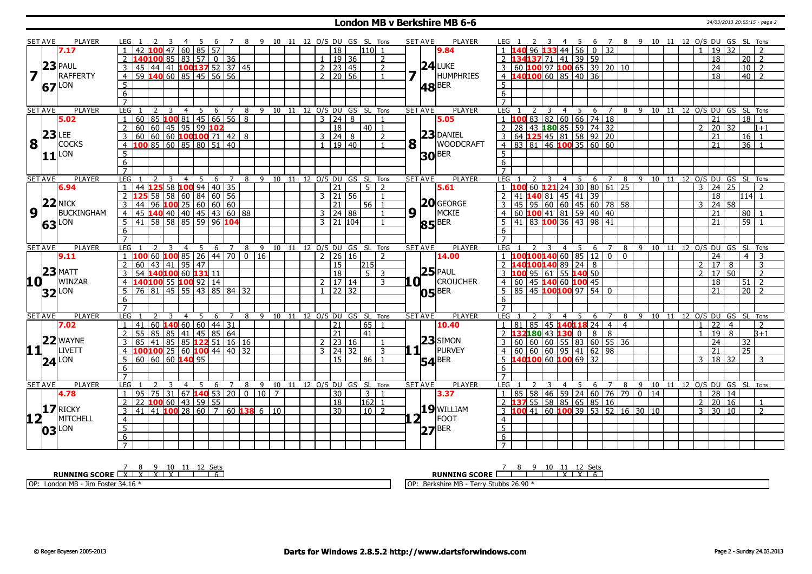#### **London MB v Berkshire MB 6-6** 24/03/2013 20:55:15 - page 2

|                         | <b>SET AVE</b>      | PLAYER          |                       | LEG 1                                         |                                                |                                             | - 5<br>- 6 |   |                |   |  |  |              |                    |                      | 7 8 9 10 11 12 O/S DU GS SL Tons   |                                        |         | SET AVE                   | PLAYER                | LEG 1               |                                                      | - 3 |                |    |                              |                 |                |   |    |    |                |                                                |                                | 4 5 6 7 8 9 10 11 12 O/S DU GS SL Tons |  |
|-------------------------|---------------------|-----------------|-----------------------|-----------------------------------------------|------------------------------------------------|---------------------------------------------|------------|---|----------------|---|--|--|--------------|--------------------|----------------------|------------------------------------|----------------------------------------|---------|---------------------------|-----------------------|---------------------|------------------------------------------------------|-----|----------------|----|------------------------------|-----------------|----------------|---|----|----|----------------|------------------------------------------------|--------------------------------|----------------------------------------|--|
|                         |                     | 7.17            |                       |                                               |                                                |                                             | 60 85 57   |   |                |   |  |  |              | 18                 |                      | 110 1                              |                                        |         |                           | 9.84                  |                     |                                                      |     | 33 44 56       |    | $\mathbf{0}$                 | $\overline{32}$ |                |   |    |    |                | 19 <sup>1</sup>                                | 32                             |                                        |  |
|                         |                     |                 |                       | 40 <mark>100</mark> 85   83   57   0   36     |                                                |                                             |            |   |                |   |  |  |              |                    | $19$ 36              |                                    | 2                                      |         |                           |                       |                     | $34137$ 71 41 39 59                                  |     |                |    |                              |                 |                |   |    |    |                | $\overline{18}$                                |                                | 20 <sup>1</sup><br><sup>2</sup>        |  |
|                         |                     | $23$ PAUL       | 3                     | 45                                            | 44 41 100 137 52 37 45                         |                                             |            |   |                |   |  |  |              |                    | $2 \ 23 \ 45$        |                                    | 2                                      |         |                           | $24$ LUKE             | 3                   | 60 <b>100</b> 97 <b>100</b> 65 39 20 10              |     |                |    |                              |                 |                |   |    |    |                | 24                                             |                                | 10 <br>$\overline{2}$                  |  |
| $\overline{\mathbf{z}}$ | H                   | <b>RAFFERTY</b> | $\overline{4}$        | $59$ 140 60 85 45 56 56                       |                                                |                                             |            |   |                |   |  |  |              |                    | $2 \mid 20 \mid 56$  |                                    | $\mathbf{1}$                           |         | 7 F                       | HUMPHRIES             |                     | 4 140100 60 85 40 36                                 |     |                |    |                              |                 |                |   |    |    |                | 18                                             |                                | 40   2                                 |  |
|                         |                     |                 |                       |                                               |                                                |                                             |            |   |                |   |  |  |              |                    |                      |                                    |                                        |         |                           |                       |                     |                                                      |     |                |    |                              |                 |                |   |    |    |                |                                                |                                |                                        |  |
|                         | 67LON               |                 | 5                     |                                               |                                                |                                             |            |   |                |   |  |  |              |                    |                      |                                    |                                        |         |                           | $ 48 $ BER            | 5                   |                                                      |     |                |    |                              |                 |                |   |    |    |                |                                                |                                |                                        |  |
|                         |                     |                 | $6\overline{6}$       |                                               |                                                |                                             |            |   |                |   |  |  |              |                    |                      |                                    |                                        |         |                           |                       | 6                   |                                                      |     |                |    |                              |                 |                |   |    |    |                |                                                |                                |                                        |  |
|                         |                     |                 | $\overline{7}$        |                                               |                                                |                                             |            |   |                |   |  |  |              |                    |                      |                                    |                                        |         |                           |                       | $\overline{7}$      |                                                      |     |                |    |                              |                 |                |   |    |    |                |                                                |                                |                                        |  |
|                         | <b>SET AVE</b>      | <b>PLAYER</b>   | LEG                   |                                               | 2<br>3                                         | $\overline{4}$                              | - 5        |   | 6 7            |   |  |  |              |                    |                      | 8 9 10 11 12 0/S DU GS SL Tons     |                                        |         | <b>SET AVE</b>            | <b>PLAYER</b>         | LEG                 |                                                      |     | $\overline{4}$ | 5  | 6                            | $\overline{7}$  |                |   |    |    |                |                                                |                                | 8 9 10 11 12 0/S DU GS SL Tons         |  |
|                         |                     | 5.02            |                       | 60                                            | 85   100   81   45   66   56   8               |                                             |            |   |                |   |  |  |              | $3 \mid 24 \mid 8$ |                      |                                    |                                        |         |                           | 5.05                  |                     | $1 \overline{100} 83  82  60  66  74  18$            |     |                |    |                              |                 |                |   |    |    |                | 21                                             |                                | 18                                     |  |
|                         | $23$ LEE            |                 | $\overline{2}$        | 60 60 45 95 99 102                            |                                                |                                             |            |   |                |   |  |  |              | $\overline{18}$    |                      | 40   1                             |                                        |         |                           | $23$ DANIEL           | $\overline{2}$      | 28 43 180 85 59 74 32                                |     |                |    |                              |                 |                |   |    |    |                | $\overline{2}$ $\overline{20}$ $\overline{32}$ |                                | $1 + 1$                                |  |
|                         |                     |                 | 3                     | $60   60   60$ 100 100 71 42 8                |                                                |                                             |            |   |                |   |  |  |              | 3   24   8         |                      |                                    | 2                                      |         |                           |                       | $\overline{3}$      | 64 125 45 81 58 92 20<br>83 81 46 100 35 60 60       |     |                |    |                              |                 |                |   |    |    |                | 21                                             |                                | 16 <sup>1</sup>                        |  |
| 8                       | $\mathbf{1}$        | <b>COCKS</b>    |                       | LOO 85 60 85 80 51 40                         |                                                |                                             |            |   |                |   |  |  |              |                    | $1 \mid 19 \mid 40$  |                                    | $\mathbf{1}$                           |         | $\mathbf{8}$ <sup>T</sup> | <b>WOODCRAFT</b>      | $\overline{4}$      |                                                      |     |                |    |                              |                 |                |   |    |    |                | 21                                             |                                | 36                                     |  |
|                         | 11                  | <b>LON</b>      | 5                     |                                               |                                                |                                             |            |   |                |   |  |  |              |                    |                      |                                    |                                        |         |                           | $30$ <sup>BER</sup>   | $5\overline{)}$     |                                                      |     |                |    |                              |                 |                |   |    |    |                |                                                |                                |                                        |  |
|                         |                     |                 | 6                     |                                               |                                                |                                             |            |   |                |   |  |  |              |                    |                      |                                    |                                        |         |                           |                       | 6                   |                                                      |     |                |    |                              |                 |                |   |    |    |                |                                                |                                |                                        |  |
|                         |                     |                 | $\overline{7}$        |                                               |                                                |                                             |            |   |                |   |  |  |              |                    |                      |                                    |                                        |         |                           |                       |                     |                                                      |     |                |    |                              |                 |                |   |    |    |                |                                                |                                |                                        |  |
|                         | <b>SET AVE</b>      | <b>PLAYER</b>   | LEG                   |                                               |                                                | 3<br>$\overline{4}$                         | 5          | 6 | $\overline{7}$ |   |  |  |              |                    |                      | 8 9 10 11 12 O/S DU GS SL Tons     |                                        |         | <b>SET AVE</b>            | <b>PLAYER</b>         | LEG                 |                                                      | 3   |                |    | 4 5 6 7                      |                 |                |   |    |    |                |                                                |                                | 8 9 10 11 12 0/S DU GS SL Tons         |  |
|                         |                     | 6.94            |                       | 44 125 58 100 94 40 35                        |                                                |                                             |            |   |                |   |  |  |              | $\overline{21}$    |                      | $5-1$                              |                                        |         |                           | 5.61                  |                     |                                                      |     |                |    | 60 <b>121</b> 24 30 80 61 25 |                 |                |   |    |    |                | $3 \mid 24 \mid 25$                            |                                |                                        |  |
|                         |                     |                 | 2                     |                                               |                                                |                                             |            |   |                |   |  |  |              |                    | 3 21 56              |                                    | $\mathbf{1}$                           |         |                           |                       | $\overline{2}$      |                                                      |     |                |    |                              |                 |                |   |    |    |                | 18                                             |                                | 114 1                                  |  |
|                         |                     | $22$ NICK       | 3                     | 44                                            | 58 58 60 84 60 56<br>96 <b>100</b> 25 60 60 60 |                                             |            |   |                |   |  |  |              | 21                 |                      | $56$   1                           |                                        |         |                           | $20$ GEORGE           | $\mathbf{3}$        | 41 <b>140</b> 81 45 41 39<br>45 95 60 60 45 60 78 58 |     |                |    |                              |                 |                |   |    |    |                | $3 \mid 24 \mid 58$                            |                                |                                        |  |
| $\boldsymbol{9}$        |                     | BUCKINGHAM      | $\overline{4}$        | 45 140 40 40 45 43 60 88                      |                                                |                                             |            |   |                |   |  |  |              |                    | 3   24   88          |                                    |                                        | $9^{1}$ |                           | MCKIE                 | $\overline{4}$      | 60 <b>100</b> 41 81 59 40 40                         |     |                |    |                              |                 |                |   |    |    |                | 21                                             |                                | 80 l                                   |  |
|                         | 63 LON              |                 | 5 <sup>5</sup>        | $\boxed{41}$ 58 58 85 59 96 104               |                                                |                                             |            |   |                |   |  |  |              |                    | $3 \mid 21 \mid 104$ |                                    |                                        |         |                           | <b>85</b> BER         | -5                  | 41 83 100 36 43 98 41                                |     |                |    |                              |                 |                |   |    |    |                | $\overline{21}$                                |                                | $59$   1                               |  |
|                         |                     |                 | 6                     |                                               |                                                |                                             |            |   |                |   |  |  |              |                    |                      |                                    |                                        |         |                           |                       | 6                   |                                                      |     |                |    |                              |                 |                |   |    |    |                |                                                |                                |                                        |  |
|                         |                     |                 | $\overline{7}$        |                                               |                                                |                                             |            |   |                |   |  |  |              |                    |                      |                                    |                                        |         |                           |                       | $\overline{7}$      |                                                      |     |                |    |                              |                 |                |   |    |    |                |                                                |                                |                                        |  |
| <b>SET AVE</b>          |                     |                 |                       |                                               |                                                | 3                                           |            |   |                |   |  |  |              |                    |                      |                                    | 4 5 6 7 8 9 10 11 12 O/S DU GS SL Tons |         | <b>SET AVE</b>            | <b>PLAYER</b>         | LEG 1               |                                                      |     | $\overline{4}$ |    | 5 6 7                        |                 |                |   |    |    |                |                                                | 8 9 10 11 12 0/S DU GS SL Tons |                                        |  |
|                         |                     | <b>PLAYER</b>   |                       | LEG 1                                         |                                                |                                             |            |   |                |   |  |  |              |                    |                      |                                    |                                        |         |                           |                       |                     |                                                      |     |                |    |                              |                 |                |   |    |    |                |                                                |                                |                                        |  |
|                         |                     | 9.11            |                       |                                               |                                                |                                             |            |   |                |   |  |  |              |                    |                      |                                    | $\mathcal{D}$                          |         |                           | 14.00                 |                     |                                                      |     |                |    |                              | $\overline{0}$  | $\overline{0}$ |   |    |    |                | 24                                             |                                | $\mathcal{R}$<br>$\overline{4}$        |  |
|                         |                     |                 |                       | 1  100  60  100  85  26  44  70  0 16<br>60   |                                                |                                             |            |   |                |   |  |  |              |                    | $2 \mid 26 \mid 16$  |                                    |                                        |         |                           |                       |                     | 1 100100140 60 85 12                                 |     |                |    |                              |                 |                |   |    |    | 2 <sup>1</sup> | 17                                             | 8                              | 3                                      |  |
|                         |                     | $23$ MATT       |                       |                                               | $43 \mid 41 \mid 95 \mid 47$                   |                                             |            |   |                |   |  |  |              | 15                 |                      | 215 <br>$5-1$                      | 3                                      |         |                           | $25$ PAUL             |                     | 40100140 89 24 8                                     |     |                |    |                              |                 |                |   |    |    | 2 <sup>1</sup> | $17$ 50                                        |                                | $\overline{2}$                         |  |
|                         |                     |                 | 4                     | 54 140100 60 131 11                           |                                                |                                             |            |   |                |   |  |  |              | 18                 |                      |                                    | 3                                      |         |                           |                       |                     | 60                                                   |     |                |    | 95 61 55 140 50              |                 |                |   |    |    |                | 18                                             |                                | $\overline{z}$                         |  |
| <b>10</b>               |                     | WINZAR          |                       | L40 <mark>100</mark> 55 <b>100</b> 92 14      |                                                |                                             |            |   |                |   |  |  | $\mathbf{1}$ | 17 14              |                      |                                    |                                        | 10 L    |                           | <b>CROUCHER</b>       | $\overline{4}$      |                                                      |     |                |    | 45 140 60 100 45             |                 |                |   |    |    |                | 21                                             |                                | 51<br>$\overline{20}$                  |  |
|                         | $32$ <sup>LON</sup> |                 |                       | 76 81 45 55 43 85 84 32                       |                                                |                                             |            |   |                |   |  |  |              | 22 32              |                      |                                    |                                        |         |                           | $ 05 $ BER            | $5\overline{)}$     | 85 45 100100 97 54 0                                 |     |                |    |                              |                 |                |   |    |    |                |                                                |                                |                                        |  |
|                         |                     |                 | 6<br>$\overline{7}$   |                                               |                                                |                                             |            |   |                |   |  |  |              |                    |                      |                                    |                                        |         |                           |                       | 6<br>$\overline{7}$ |                                                      |     |                |    |                              |                 |                |   |    |    |                |                                                |                                |                                        |  |
|                         |                     | <b>PLAYER</b>   |                       |                                               |                                                |                                             | -5         | 6 | 7              | 8 |  |  |              |                    |                      |                                    |                                        |         |                           |                       |                     |                                                      |     | 4              | -5 |                              | 7               |                | 9 |    | 11 |                |                                                |                                |                                        |  |
|                         | <b>SET AVE</b>      |                 | LEG<br>$\overline{1}$ |                                               |                                                |                                             |            |   |                |   |  |  |              |                    |                      | 9 10 11 12 0/S DU GS SL Tons       | $\overline{1}$                         |         | <b>SET AVE</b>            | PLAYER                | <b>LEG</b>          |                                                      |     |                |    | 6                            |                 | 8              |   | 10 |    | 12 0/S DU      |                                                |                                | GS SL Tons                             |  |
|                         |                     | 7.02            |                       | 41                                            | $60 \, 140 \, 60 \, 60 \, 44 \, 31$            |                                             |            |   |                |   |  |  |              | 21                 |                      | 65                                 |                                        |         |                           | 10.40                 | 1                   | 85<br>81                                             |     |                |    | 45 140118 24                 | $\overline{4}$  | $\overline{4}$ |   |    |    | $1 \mid 22$    |                                                | $\overline{4}$<br>$\mathsf{R}$ | 2                                      |  |
|                         |                     |                 | 2                     | 55                                            | $85 \mid 85 \mid 41 \mid 45 \mid 85 \mid 64$   |                                             |            |   |                |   |  |  |              | 21                 |                      | 41                                 |                                        |         |                           |                       | 2                   | 132180 43 130 0                                      |     |                |    | 8                            | 8               |                |   |    |    |                | 19                                             |                                | $B+1$                                  |  |
|                         |                     | 22 WAYNE        | 3                     | 85                                            | 41                                             | 85 85 122 51 16 16                          |            |   |                |   |  |  |              |                    | $2 \mid 23 \mid 16$  |                                    | $\mathbf{1}$                           |         |                           | $23$ SIMON            | 3                   | -60                                                  |     |                |    | 60 60 55 83 60               | 55 36           |                |   |    |    |                | 24                                             | 32                             |                                        |  |
| 11                      |                     | LIVETT          | $\overline{4}$        | $100100$ 25 60 $100$ 44 40 32                 |                                                |                                             |            |   |                |   |  |  |              |                    | $3 \mid 24 \mid 32$  |                                    | 3                                      |         | 11                        | PURVEY                | $\overline{4}$      |                                                      |     |                |    |                              |                 |                |   |    |    |                | $\overline{21}$                                | 75                             |                                        |  |
|                         | $24$ <sup>LON</sup> |                 | 5                     | $60$ 60 60 140 95                             |                                                |                                             |            |   |                |   |  |  |              | $\overline{15}$    |                      | 86   1                             |                                        |         |                           | $54$ <sup>BER</sup>   | .5                  | 140100 60 100 69 32                                  |     |                |    |                              |                 |                |   |    |    |                | $3 \mid 18 \mid 32$                            |                                | 3                                      |  |
|                         |                     |                 | 6                     |                                               |                                                |                                             |            |   |                |   |  |  |              |                    |                      |                                    |                                        |         |                           |                       | 6                   |                                                      |     |                |    |                              |                 |                |   |    |    |                |                                                |                                |                                        |  |
|                         |                     |                 |                       |                                               |                                                |                                             |            |   |                |   |  |  |              |                    |                      |                                    |                                        |         |                           |                       |                     |                                                      |     |                |    |                              |                 |                |   |    |    |                |                                                |                                |                                        |  |
|                         | <b>SET AVE</b>      | <b>PLAYER</b>   | LEG                   |                                               |                                                | $\overline{4}$                              | 5          |   |                |   |  |  |              |                    |                      | 6 7 8 9 10 11 12 0/S DU GS SL Tons |                                        |         | <b>SET AVE</b>            | PLAYER                | LEG                 |                                                      | 3   | $\overline{4}$ | 5  | 6                            |                 |                |   |    |    |                |                                                |                                | 7 8 9 10 11 12 O/S DU GS SL Tons       |  |
|                         |                     | 4.78            | $\overline{1}$        | 95                                            | 75 I                                           | 31   67 <b>  140</b>   53   20   0   10   7 |            |   |                |   |  |  |              | $\overline{30}$    |                      | $\overline{3}$                     |                                        |         |                           | 3.37                  |                     | 85   58   46   59   24   60   76   79   0   14       |     |                |    |                              |                 |                |   |    |    |                | $1 \ 28 \ 14$                                  |                                |                                        |  |
|                         |                     |                 |                       | 22                                            | $100$ 60   43   59   55                        |                                             |            |   |                |   |  |  |              | 18                 |                      | 162                                | $\overline{1}$                         |         |                           |                       |                     |                                                      |     |                |    | 55   58   85   65   85   16  |                 |                |   |    |    | 2 <sup>1</sup> | 20 16                                          |                                | $\mathbf{1}$                           |  |
|                         |                     | $17$ RICKY      | $\overline{3}$        | $41$ 41 <b>100</b> 28 60 7 60 <b>138</b> 6 10 |                                                |                                             |            |   |                |   |  |  |              | $\overline{30}$    |                      | $10$   2                           |                                        |         |                           | $19$ WILLIAM          |                     | 3 100 41 60 100 39 53 52 16 30 10                    |     |                |    |                              |                 |                |   |    |    |                | $3 \mid 30 \mid 10$                            |                                | $\overline{2}$                         |  |
| $12^{\top}$             |                     | MITCHELL        | $\overline{4}$        |                                               |                                                |                                             |            |   |                |   |  |  |              |                    |                      |                                    |                                        |         | 2⊺                        | <b>FOOT</b>           | $\overline{4}$      |                                                      |     |                |    |                              |                 |                |   |    |    |                |                                                |                                |                                        |  |
|                         |                     |                 | $\overline{5}$        |                                               |                                                |                                             |            |   |                |   |  |  |              |                    |                      |                                    |                                        |         |                           | $ 27 $ <sup>BER</sup> | $\overline{5}$      |                                                      |     |                |    |                              |                 |                |   |    |    |                |                                                |                                |                                        |  |
|                         | $03$ <sup>LON</sup> |                 | 6<br>$\overline{7}$   |                                               |                                                |                                             |            |   |                |   |  |  |              |                    |                      |                                    |                                        |         |                           |                       | 6<br>$\overline{7}$ |                                                      |     |                |    |                              |                 |                |   |    |    |                |                                                |                                |                                        |  |

**RUNNING SCORE** 7 X 8 X 9 X 10 X 11 12 Sets 6 OP: London MB - Jim Foster 34.16 \* **RUNNING SCORE** 7 8 9 10 11 X 12 X Sets 6 OP: Berkshire MB - Terry Stubbs 26.90 \*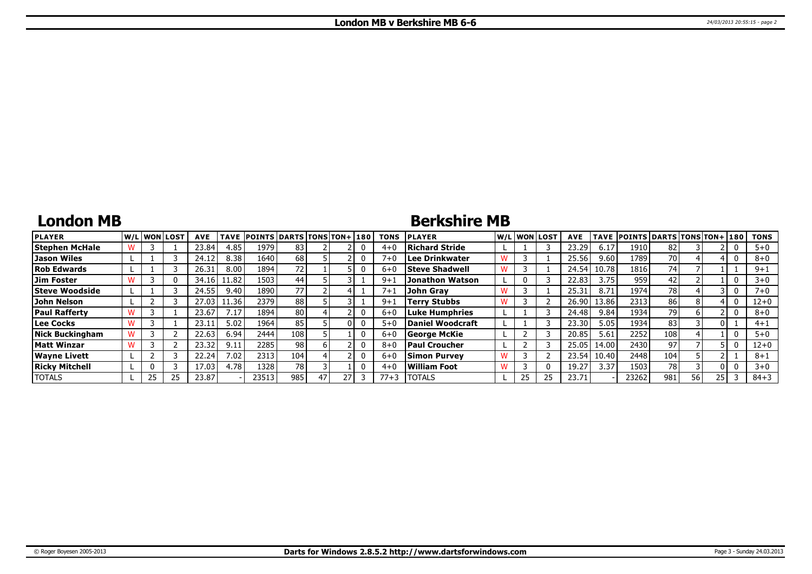# **London MB**

### **Berkshire MB**

| <b>PLAYER</b>          |    | lw/Llwonllost | <b>AVE</b> | <b>TAVE</b> | <b>POINTS DARTS TONS TON+180</b> |                 |    |  | <b>TONS</b> | <b>PLAYER</b>         | W/L WON LOST | <b>AVE</b>        | <b>TAVE</b> | <b>POINTS DARTS TONS TON+ 180</b> |      |    |    | <b>TONS</b> |
|------------------------|----|---------------|------------|-------------|----------------------------------|-----------------|----|--|-------------|-----------------------|--------------|-------------------|-------------|-----------------------------------|------|----|----|-------------|
| <b>Stephen McHale</b>  |    |               | 23.84      | 4.85        | 1979                             | 83              |    |  | $4 + C$     | Richard Stride        |              | 23.29             | 6.17        | 1910                              |      |    |    | $5 + 0$     |
| Jason Wiles            |    |               | 24.12      | 8.38        | 1640                             | 68              |    |  | $7 + C$     | Lee Drinkwater        |              | 25.56             | 9.60        | 1789                              | 70 I |    |    | $8+0$       |
| <b>Rob Edwards</b>     |    |               | 26.31      | 8.00        | 1894                             | 72              |    |  | $6 + 0$     | <b>Steve Shadwell</b> |              | 24.54             | 10.78       | 1816                              | 74   |    |    | $9 + 1$     |
| <b>Jim Foster</b>      |    |               | 34.16      | 1.82        | 1503                             | 44 <sub>1</sub> |    |  | $9 + 1$     | Jonathon Watson       | 0            | 22.83             | 3.75        | 959                               | 42   |    |    | $3 + 0$     |
| <b>Steve Woodside</b>  |    |               | 24.55      | 9.40        | 1890                             | 77              |    |  | $7 + 1$     | John Grav             |              | 25.31             | 8.71        | 1974                              | 78   |    |    | $7+0$       |
| John Nelson            |    |               | 27.03      | 1.36        | 2379                             | 88              |    |  | $9 + 1$     | Terrv Stubbs          |              | 26.90             | 13.86       | 2313                              | 86   |    |    | 12+0        |
| <b>Paul Rafferty</b>   |    |               | 23.67      | 7.17        | 1894                             | 80              |    |  | $6 + 0$     | Luke Humphries        |              | 24.48             | 9.84        | 1934                              | 79   |    |    | $8 + 0$     |
| Lee Cocks              |    |               | 23.1       | 5.02        | 1964                             | 85              |    |  | $5 + 0$     | Daniel Woodcraft      |              | 23.30             | 5.05        | 1934                              | 83   |    |    | $4 + 1$     |
| <b>Nick Buckingham</b> |    |               | 22.63      | 6.94        | 2444                             | 108             |    |  | $6 + 0$     | George McKie          |              | 20.85             | 5.61        | 2252                              | 108  |    |    | $5 + 0$     |
| Matt Winzar            |    |               | 23.32      | 9.11        | 2285                             | 98              |    |  | $8 + C$     | Paul Croucher         |              | 25.05             | 14.00       | 2430                              | 97   |    |    | 12+0        |
| <b>Wayne Livett</b>    |    |               | 22.24      | 7.02        | 2313                             | 104             |    |  | $6 + C$     | <b>Simon Purvey</b>   |              | 23.54             | 10.40       | 2448                              | 104  |    |    | $8 + 1$     |
| <b>Ricky Mitchell</b>  |    |               | 17.03      | 4.78        | 1328                             | 78              |    |  | $4 + 0$     | William Foot          |              | 19.27             | 3.37        | 1503                              | 78   |    |    | $3 + 0$     |
| <b>TOTALS</b>          | 25 | 25            | 23.87      |             | 23513                            | 985             | 47 |  | $77+3$      | <b>ITOTALS</b>        | 25           | 23.7 <sup>2</sup> |             | 23262                             | 981  | 56 | 25 | $84 + 3$    |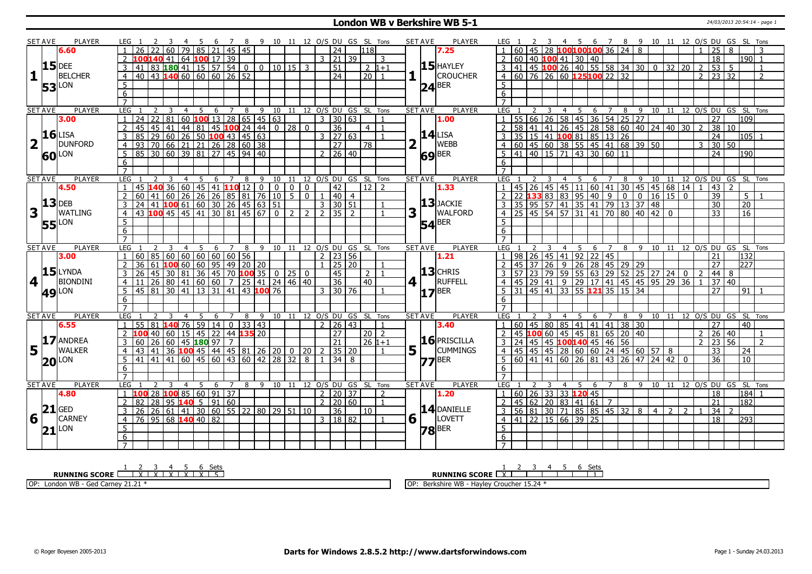#### **London WB v Berkshire WB 5-1** 24/03/2013 20:54:14 - page 1

|                         | <b>SET AVE</b>            | <b>PLAYER</b>       |                                   |                                                          |                                          |                |                    |     |                           |                                       |                                                 |          |                |                  |                              |                    |                     |                |                                | <b>PLAYER</b>                   |                                               |                      |                         |                |                                                                               |                |                |        |                                                                                                                                    |                |                 |                |                                                |                |                            |                         |
|-------------------------|---------------------------|---------------------|-----------------------------------|----------------------------------------------------------|------------------------------------------|----------------|--------------------|-----|---------------------------|---------------------------------------|-------------------------------------------------|----------|----------------|------------------|------------------------------|--------------------|---------------------|----------------|--------------------------------|---------------------------------|-----------------------------------------------|----------------------|-------------------------|----------------|-------------------------------------------------------------------------------|----------------|----------------|--------|------------------------------------------------------------------------------------------------------------------------------------|----------------|-----------------|----------------|------------------------------------------------|----------------|----------------------------|-------------------------|
|                         |                           |                     | LEG 1<br>26                       |                                                          | 60                                       | 79             |                    | - 6 | 78<br>$85$   21   45   45 |                                       | 9 10 11 12 O/S DU GS SL Tons                    |          |                |                  |                              | $\overline{24}$    |                     |                |                                | <b>SET AVE</b>                  | LEG 1<br>60                                   |                      |                         |                | 45 28 100100100 36 24 8                                                       |                |                |        | 3  4  5  6  7  8  9  10  11  12  O/S  DU  GS  SL  Tons                                                                             |                |                 |                | 25                                             | 8              |                            |                         |
|                         |                           | 6.60                |                                   |                                                          |                                          |                |                    |     |                           |                                       |                                                 |          |                |                  |                              |                    | l118l               |                |                                | 7.25                            |                                               |                      |                         |                |                                                                               |                |                |        |                                                                                                                                    |                |                 |                |                                                |                |                            |                         |
|                         |                           |                     | $\mathcal{P}$                     |                                                          | 140 41                                   |                | 64   100   17   39 |     |                           |                                       |                                                 |          |                |                  | $3 \mid 21 \mid 39$          |                    |                     | $\mathcal{R}$  |                                |                                 | $\overline{2}$                                |                      |                         |                | 60   40   100   41   30   40                                                  |                |                |        |                                                                                                                                    |                |                 |                | 18                                             |                | 190I 1                     |                         |
|                         |                           | $15$ DEE            | 3<br>41                           |                                                          |                                          |                |                    |     |                           |                                       | $83118041115575400010115$                       |          |                | $\overline{3}$   |                              | $\overline{51}$    | $2 1+1 $            |                |                                | $15$ HAYLEY                     | 3                                             |                      |                         |                | $\frac{12}{141}$ 45 100 26 40 55 58 34 30                                     |                |                |        | l 0                                                                                                                                | 32             | $\overline{20}$ | 2              | 53                                             | 5              |                            | $\overline{1}$          |
| $\mathbf{1}$            |                           | <b>BELCHER</b>      | $\overline{4}$                    | $40$ 43 <b>140</b> 60 60 60 26 52                        |                                          |                |                    |     |                           |                                       |                                                 |          |                |                  |                              | $\overline{24}$    | $\boxed{20}$ 1      |                |                                | <b>CROUCHER</b>                 | $4   60   76   26   60   125   100   22   32$ |                      |                         |                |                                                                               |                |                |        |                                                                                                                                    |                |                 |                | $\overline{2}$ $\overline{23}$ $\overline{32}$ |                |                            | $\overline{z}$          |
|                         |                           | LON                 | 5                                 |                                                          |                                          |                |                    |     |                           |                                       |                                                 |          |                |                  |                              |                    |                     |                |                                | $24$ <sup>BER</sup>             | 5 <sup>1</sup>                                |                      |                         |                |                                                                               |                |                |        |                                                                                                                                    |                |                 |                |                                                |                |                            |                         |
|                         | 53                        |                     | $\overline{6}$                    |                                                          |                                          |                |                    |     |                           |                                       |                                                 |          |                |                  |                              |                    |                     |                |                                |                                 | $\overline{6}$                                |                      |                         |                |                                                                               |                |                |        |                                                                                                                                    |                |                 |                |                                                |                |                            |                         |
|                         |                           |                     | $\overline{7}$                    |                                                          |                                          |                |                    |     |                           |                                       |                                                 |          |                |                  |                              |                    |                     |                |                                |                                 |                                               |                      |                         |                |                                                                               |                |                |        |                                                                                                                                    |                |                 |                |                                                |                |                            |                         |
|                         |                           |                     |                                   |                                                          |                                          |                |                    |     |                           |                                       |                                                 |          |                |                  |                              |                    |                     |                |                                |                                 |                                               |                      |                         |                |                                                                               |                |                |        |                                                                                                                                    |                |                 |                |                                                |                |                            |                         |
|                         | <b>SET AVE</b>            | <b>PLAYER</b>       | LEG <sub>1</sub>                  |                                                          | 3                                        | $\overline{4}$ | - 5                |     | 6 7 8                     |                                       | 9 10 11 12 0/S DU GS SL Tons                    |          |                |                  |                              |                    |                     |                |                                | <b>PLAYER</b><br><b>SET AVE</b> | LEG <sub>1</sub>                              | <sup>2</sup>         | $\overline{\mathbf{3}}$ |                |                                                                               |                |                |        | 4 5 6 7 8 9 10 11 12 O/S DU GS SL Tons                                                                                             |                |                 |                |                                                |                |                            |                         |
|                         |                           | 3.00                | 24                                | 22                                                       |                                          |                |                    |     |                           |                                       | $ 81 $ 60 <b>100</b> 13 28 65 45 63             |          |                |                  | $\overline{3}$               | 30 63              |                     |                |                                | 1.00                            | $\overline{55}$                               |                      |                         |                | 66 26 58 45 36 54 25 27                                                       |                |                |        |                                                                                                                                    |                |                 |                | 27                                             |                | 109                        |                         |
|                         |                           |                     | 45<br>$\overline{2}$              |                                                          | 45   41                                  |                |                    |     |                           | 44   81   45 <mark>100</mark> 24   44 |                                                 | $0$   28 |                | $\mathbf{0}$     |                              | 36                 | 4 <sup>1</sup>      |                |                                |                                 |                                               |                      |                         |                |                                                                               |                |                |        | 58 41 41 26 45 28 58 60 40 24 40 30<br>35 15 41 <b>100</b> 81 85 13 26<br>60 45 60 38 55 45 41 68 39 50<br>41 40 15 71 43 30 60 11 |                |                 |                | 38                                             | 10             |                            |                         |
|                         |                           | $16$ LISA           | $\overline{3}$<br>85              |                                                          | $29   60   26   50   100   43   45   63$ |                |                    |     |                           |                                       |                                                 |          |                |                  | 3   27   63                  |                    |                     |                |                                | $14$ LISA                       |                                               |                      |                         |                |                                                                               |                |                |        |                                                                                                                                    |                |                 |                | $\overline{24}$                                |                | 105 l1                     |                         |
| $\overline{\mathbf{2}}$ |                           | <b>DUNFORD</b>      | $\overline{4}$                    |                                                          |                                          |                |                    |     |                           |                                       |                                                 |          |                |                  |                              | $\overline{27}$    | 78                  |                | $\mathbf{2}$                   | WEBB                            | $\overline{4}$                                |                      |                         |                |                                                                               |                |                |        |                                                                                                                                    |                |                 | २              | 30 <sup>7</sup>                                | 50             |                            |                         |
|                         |                           | <b>60</b> LON       | 5                                 | 93 70 66 21 21 26 28 60 38<br>85 30 60 39 81 27 45 94 40 |                                          |                |                    |     |                           |                                       |                                                 |          |                |                  | 2 26 40                      |                    |                     |                |                                | 69 <sup>BER</sup>               | $5^{\circ}$                                   |                      |                         |                |                                                                               |                |                |        |                                                                                                                                    |                |                 |                | $\overline{24}$                                |                | 190                        |                         |
|                         |                           |                     | 6                                 |                                                          |                                          |                |                    |     |                           |                                       |                                                 |          |                |                  |                              |                    |                     |                |                                |                                 | 6                                             |                      |                         |                |                                                                               |                |                |        |                                                                                                                                    |                |                 |                |                                                |                |                            |                         |
|                         |                           |                     | $\overline{7}$                    |                                                          |                                          |                |                    |     |                           |                                       |                                                 |          |                |                  |                              |                    |                     |                |                                |                                 | $\overline{7}$                                |                      |                         |                |                                                                               |                |                |        |                                                                                                                                    |                |                 |                |                                                |                |                            |                         |
|                         |                           |                     |                                   |                                                          |                                          |                |                    |     |                           |                                       |                                                 |          |                |                  |                              |                    |                     |                |                                |                                 |                                               |                      |                         |                |                                                                               |                |                |        |                                                                                                                                    |                |                 |                |                                                |                |                            |                         |
|                         | <b>SET AVE</b>            | <b>PLAYER</b>       | LEG                               |                                                          | 3                                        | $\overline{4}$ | 5                  | 6   | $\overline{7}$            | 8                                     |                                                 |          |                |                  | 9 10 11 12 O/S DU GS SL Tons |                    |                     |                |                                | <b>SET AVE</b><br><b>PLAYER</b> | LEG <sub>1</sub>                              |                      | 3                       | $\overline{4}$ |                                                                               | 5 6 7          |                |        | 8 9 10 11 12 O/S DU GS SL Tons                                                                                                     |                |                 |                |                                                | $\overline{2}$ |                            |                         |
|                         |                           | 4.50                | $\mathbf{1}$                      | $-45$ <b>140</b> 36 60 45 41 <b>110</b> 12 0 0           |                                          |                |                    |     |                           |                                       |                                                 |          | ∣ o I          | $\mathbf{0}$     |                              | 42                 | $12$ $\overline{2}$ |                |                                | 1.33                            |                                               |                      |                         |                |                                                                               |                |                |        | 45 26 45 45 11 60 41 30 45 45 68 14 1                                                                                              |                |                 |                | 43                                             |                |                            |                         |
|                         |                           |                     | 60<br>2                           |                                                          | 11   60   26                             |                |                    |     |                           |                                       | 26 26 85 81 76 10 5                             |          |                | $\Omega$         | $\mathbf{1}$                 | $\vert 40 \vert 4$ |                     |                |                                |                                 | 2                                             |                      |                         |                |                                                                               |                |                |        | 22 <b>133</b> 83 83 95 40 9 0 0 16<br>35 95 57 41 35 41 79 13 37 48                                                                | 16 15          | $\overline{0}$  |                | $\overline{39}$                                |                | 5 I                        |                         |
|                         |                           | $13$ DEB            | 24                                |                                                          |                                          |                |                    |     |                           |                                       | $11$ 100 61 60 30 26 45 63 51                   |          |                |                  | 3   30   51                  |                    |                     |                |                                | $13$ JACKIE                     |                                               |                      |                         |                |                                                                               |                |                |        |                                                                                                                                    |                |                 |                | 30                                             |                | $\overline{20}$            |                         |
| 3                       |                           | <b>WATLING</b>      | $\overline{4}$<br>43              |                                                          |                                          |                |                    |     |                           |                                       | $100$ 45   45   41   30   81   45   67   0      |          | $\overline{2}$ | $\overline{2}$   | $\overline{2}$               | $35$   2           |                     |                | 3                              | WALFORD                         | $\overline{4}$                                |                      |                         |                |                                                                               |                |                |        | 25 45 54 57 31 41 70 80 40 42                                                                                                      | $\Omega$       |                 |                | $\overline{33}$                                |                | 16                         |                         |
|                         |                           | <b>55</b> LON       | 5                                 |                                                          |                                          |                |                    |     |                           |                                       |                                                 |          |                |                  |                              |                    |                     |                |                                | <b>54</b> BER                   | 5                                             |                      |                         |                |                                                                               |                |                |        |                                                                                                                                    |                |                 |                |                                                |                |                            |                         |
|                         |                           |                     | 6                                 |                                                          |                                          |                |                    |     |                           |                                       |                                                 |          |                |                  |                              |                    |                     |                |                                |                                 | 6                                             |                      |                         |                |                                                                               |                |                |        |                                                                                                                                    |                |                 |                |                                                |                |                            |                         |
|                         |                           |                     |                                   |                                                          |                                          |                |                    |     |                           |                                       |                                                 |          |                |                  |                              |                    |                     |                |                                |                                 |                                               |                      |                         |                |                                                                               |                |                |        |                                                                                                                                    |                |                 |                |                                                |                |                            |                         |
|                         |                           |                     |                                   |                                                          |                                          |                | 5                  |     |                           |                                       |                                                 | 9 10 11  |                |                  | 12 O/S DU GS SL Tons         |                    |                     |                |                                | <b>SET AVE</b><br><b>PLAYER</b> | LEG                                           |                      |                         | 4              | -5                                                                            | 6              | 7              | 8 9    | 10 11                                                                                                                              |                |                 |                | 12 O/S DU GS SL                                |                |                            | Tons                    |
|                         |                           |                     |                                   |                                                          |                                          |                |                    |     |                           |                                       |                                                 |          |                |                  |                              |                    |                     |                |                                |                                 |                                               |                      |                         |                |                                                                               |                |                |        |                                                                                                                                    |                |                 |                |                                                |                |                            |                         |
|                         | <b>SET AVE</b>            | <b>PLAYER</b>       | LEG                               |                                                          |                                          | $\overline{4}$ |                    | 6   | 7                         | 8                                     |                                                 |          |                |                  |                              |                    |                     |                |                                |                                 |                                               |                      |                         |                |                                                                               |                |                |        |                                                                                                                                    |                |                 |                |                                                |                |                            |                         |
|                         |                           | 3.00                | 60<br>$\mathbf{1}$                | $\overline{85}$                                          |                                          |                |                    |     |                           |                                       |                                                 |          |                |                  | $2 \mid 23 \mid 56$          |                    |                     |                |                                | 1.21                            |                                               |                      |                         |                | 98 26 45 41 92 22 45                                                          |                |                |        |                                                                                                                                    |                |                 |                | 21                                             |                | 132                        |                         |
|                         |                           |                     | $\overline{2}$<br>36              | 61                                                       | 100 60                                   |                |                    |     |                           |                                       |                                                 |          |                |                  |                              | 25 20              |                     |                |                                |                                 | 45<br>$\overline{z}$                          |                      |                         |                |                                                                               |                |                |        |                                                                                                                                    |                |                 |                | 27                                             |                | 1227                       |                         |
|                         |                           | $15$ LYNDA          | $\overline{26}$<br>$\overline{3}$ |                                                          | $45 \mid 30 \mid 81 \mid$                |                |                    |     |                           |                                       | 60 95 49 20 20<br>36 45 70 <b>100</b> 35 0 25 0 |          |                |                  |                              | 45                 | 2 <sub>1</sub>      |                |                                | $13$ CHRIS                      | 57                                            |                      |                         |                |                                                                               |                |                |        | 137 26 9 26 28 45 29 29<br>23 79 59 55 63 29 52 25 27 24                                                                           |                | $\overline{0}$  | $\overline{2}$ | 44                                             | 8              |                            |                         |
|                         | $\vert$ 4 $\vert$ $\vert$ | <b>BIONDINI</b>     | $\overline{4}$<br>11              | 26                                                       | 80 41                                    |                |                    |     |                           |                                       | 60   60   7   25   41   24   46   40            |          |                |                  |                              | 36                 | 40                  |                | $4$   $\overline{\phantom{0}}$ | RUFFELL                         | $\overline{4}$                                | $45 \mid 29 \mid 41$ |                         |                |                                                                               |                |                |        |                                                                                                                                    |                |                 |                | 37 40                                          |                |                            |                         |
|                         |                           |                     | 5<br>45                           |                                                          | 81 30 41                                 |                | $\overline{13}$    |     |                           |                                       | $31 \mid 41 \mid 43 \mid 100 \mid 76$           |          |                |                  | $3 \mid 30 \mid 76$          |                    |                     | $\mathbf{1}$   |                                |                                 | $\overline{31}$<br>5                          |                      |                         |                | $\frac{1}{45}$ 41 33 55 <b>121</b> 35 15 34                                   |                |                |        |                                                                                                                                    |                |                 |                | $\overline{27}$                                |                | 91                         | - 1                     |
|                         |                           | <b>49 LON</b>       | $6 \overline{6}$                  |                                                          |                                          |                |                    |     |                           |                                       |                                                 |          |                |                  |                              |                    |                     |                |                                | $17^{ BER }$                    | 6                                             |                      |                         |                |                                                                               |                |                |        |                                                                                                                                    |                |                 |                |                                                |                |                            |                         |
|                         |                           |                     | $\overline{7}$                    |                                                          |                                          |                |                    |     |                           |                                       |                                                 |          |                |                  |                              |                    |                     |                |                                |                                 | $\overline{7}$                                |                      |                         |                |                                                                               |                |                |        |                                                                                                                                    |                |                 |                |                                                |                |                            |                         |
|                         | <b>SET AVE</b>            | <b>PLAYER</b>       | <b>LEG</b>                        |                                                          |                                          |                | 5                  | 6   | $\overline{7}$            | 8                                     | 9 10 11 12 O/S DU GS SL Tons                    |          |                |                  |                              |                    |                     |                |                                | <b>PLAYER</b><br><b>SET AVE</b> | LEG 1                                         |                      |                         |                | 5                                                                             | 6              | $\overline{7}$ | 8<br>9 |                                                                                                                                    |                |                 |                |                                                |                | 10 11 12 O/S DU GS SL Tons |                         |
|                         |                           | 6.55                | 55<br>$\mathbf{1}$                | 81                                                       | 140 76                                   |                | 59                 | 14  |                           | $0$ 33 43                             |                                                 |          |                |                  | $\frac{1}{2}$   26   43      |                    |                     | $\mathbf{1}$   |                                | 3.40                            | 1 <sup>1</sup>                                | $60$   45   80   85  |                         |                | 41 41 41 38 30                                                                |                |                |        |                                                                                                                                    |                |                 |                | $\overline{27}$                                |                | 40                         |                         |
|                         |                           |                     | $2^{\circ}$                       |                                                          |                                          |                |                    |     |                           |                                       |                                                 |          |                |                  |                              |                    |                     |                |                                |                                 |                                               |                      |                         |                |                                                                               |                |                |        |                                                                                                                                    |                |                 |                |                                                | 40             |                            | $\overline{\mathbf{1}}$ |
|                         |                           |                     |                                   |                                                          | 40 60 15                                 |                | 45                 |     |                           | 22 44 <b>135</b> 20                   |                                                 |          |                |                  |                              | $\overline{27}$    | 20 2                |                |                                |                                 | $\overline{2}$                                |                      |                         |                | 45 100 60 45 45 81 65 20 40                                                   |                |                |        |                                                                                                                                    |                |                 |                | $2 \mid 26$                                    |                |                            |                         |
|                         |                           | 17 ANDREA           | 3<br>60                           | $\overline{26}$                                          | $ 60 $ 45 <b>180</b> 97                  |                |                    |     | $\overline{7}$            |                                       |                                                 |          |                |                  |                              | $\overline{21}$    | $26 1+1$            |                |                                | $16$ PRISCILLA                  | 3                                             |                      |                         |                | 24 45 45 100140 45 46 56                                                      |                |                |        |                                                                                                                                    |                |                 | $\overline{2}$ | 23                                             | 56             |                            | 2                       |
| 5                       |                           | <b>WALKER</b>       | $\overline{4}$<br>43              | 41                                                       |                                          |                |                    |     |                           |                                       | 36 100 45 44 45 81 26 20                        |          |                | $0 \mid 20 \mid$ | $\overline{2}$               | 35 20              |                     |                | 5 <sub>1</sub>                 | <b>CUMMINGS</b>                 | $\overline{4}$<br>45                          |                      |                         |                |                                                                               |                |                |        | 45 45 28 60 60 24 45 60 57 8                                                                                                       |                |                 |                | 33                                             |                | 24                         |                         |
|                         |                           | <b>20 LON</b>       | 5<br>41                           |                                                          |                                          |                |                    |     |                           |                                       | 41 41 60 45 60 43 60 42 28 32 8                 |          |                |                  |                              | $34$ 8             |                     |                |                                | $77$ BER                        | 5 60 41 41 60 26 81 43 26 47 24 42 0          |                      |                         |                |                                                                               |                |                |        |                                                                                                                                    |                |                 |                | $\overline{36}$                                |                | 10 <sup>1</sup>            |                         |
|                         |                           |                     | 6                                 |                                                          |                                          |                |                    |     |                           |                                       |                                                 |          |                |                  |                              |                    |                     |                |                                |                                 | 6                                             |                      |                         |                |                                                                               |                |                |        |                                                                                                                                    |                |                 |                |                                                |                |                            |                         |
|                         |                           |                     | $\overline{7}$                    |                                                          |                                          |                |                    |     |                           |                                       |                                                 |          |                |                  |                              |                    |                     |                |                                |                                 | $\overline{7}$                                |                      |                         |                |                                                                               |                |                |        |                                                                                                                                    |                |                 |                |                                                |                |                            |                         |
|                         | <b>SET AVE</b>            | PLAYER              | LEG <sub>1</sub>                  |                                                          | -3                                       | -4             | 5                  | -6  | $\overline{7}$            | 8                                     |                                                 |          |                |                  | 9 10 11 12 O/S DU GS SL Tons |                    |                     |                |                                | <b>SET AVE</b><br><b>PLAYER</b> | LEG 1                                         |                      | 3                       | 4              | 5 6                                                                           | $\overline{7}$ |                | 8      | 9 10 11                                                                                                                            |                |                 |                |                                                |                | 12 O/S DU GS SL Tons       |                         |
|                         |                           | 4.80                | $\mathbf{1}$<br>100               | $\overline{28}$                                          |                                          |                | 1008560            |     | 91 37                     |                                       |                                                 |          |                |                  | 2 20 37                      |                    |                     | $\overline{2}$ |                                | 1.20                            | 60                                            |                      |                         |                | 26 33 33 120 45                                                               |                |                |        |                                                                                                                                    |                |                 |                | 18                                             |                | 184 l                      |                         |
|                         |                           |                     | 82<br>$\overline{2}$              | $\overline{28}$                                          | 95 140                                   |                | 5 <sup>1</sup>     |     | 91 60                     |                                       |                                                 |          |                |                  | $2 \mid 20 \mid 60$          |                    |                     | $\overline{1}$ |                                |                                 | 45<br>2                                       |                      |                         |                | 62 20 83 41 61 7                                                              |                |                |        |                                                                                                                                    |                |                 |                | $\overline{21}$                                |                | $\overline{182}$           |                         |
|                         |                           | $21$ GED            | $\overline{3}$<br>$\overline{26}$ |                                                          | 26   61   41                             |                |                    |     |                           |                                       | 30 60 55 22 80 29 51 10                         |          |                |                  |                              | $\overline{36}$    | $\overline{10}$     |                |                                | 14 DANIELLE                     | $\overline{\mathbf{3}}$                       |                      |                         |                | 56 81 30 71 85 85 45 32 8                                                     |                |                |        | $\overline{4}$                                                                                                                     | $\overline{2}$ | 2               |                | $\overline{34}$                                |                |                            |                         |
|                         |                           | <b>CARNEY</b>       | $\overline{76}$<br>$\overline{4}$ |                                                          |                                          |                |                    |     |                           |                                       |                                                 |          |                |                  | 3   18   82                  |                    |                     |                |                                | LOVETT                          | $\overline{4}$                                |                      |                         |                |                                                                               |                |                |        |                                                                                                                                    |                |                 |                | $\overline{18}$                                |                | l293 l                     |                         |
| 6                       |                           |                     |                                   |                                                          | $\overline{95}$ 68 <b>140</b> 40 82      |                |                    |     |                           |                                       |                                                 |          |                |                  |                              |                    |                     |                | 6 <sup>1</sup>                 |                                 |                                               |                      |                         |                | $\boxed{41}$ $\boxed{22}$ $\boxed{15}$ $\boxed{66}$ $\boxed{39}$ $\boxed{25}$ |                |                |        |                                                                                                                                    |                |                 |                |                                                |                |                            |                         |
|                         |                           | $21$ <sup>LON</sup> | 5                                 |                                                          |                                          |                |                    |     |                           |                                       |                                                 |          |                |                  |                              |                    |                     |                |                                | $78$ <sup>BER</sup>             | $\overline{5}$                                |                      |                         |                |                                                                               |                |                |        |                                                                                                                                    |                |                 |                |                                                |                |                            |                         |
|                         |                           |                     | 6<br>$\overline{7}$               |                                                          |                                          |                |                    |     |                           |                                       |                                                 |          |                |                  |                              |                    |                     |                |                                |                                 | 6                                             |                      |                         |                |                                                                               |                |                |        |                                                                                                                                    |                |                 |                |                                                |                |                            |                         |

**RUNNING SCORE**  $\begin{array}{|c|c|c|c|c|}\n\hline\n & 2 & 3 & 4 & 5 & 6 & \text{Sets} \\
\hline\n\end{array}$ OP: London WB - Ged Carney 21.21 \* **RUNNING SCORE** 2 3 4 5 6 Sets OP: Berkshire WB - Hayley Croucher 15.24 \*